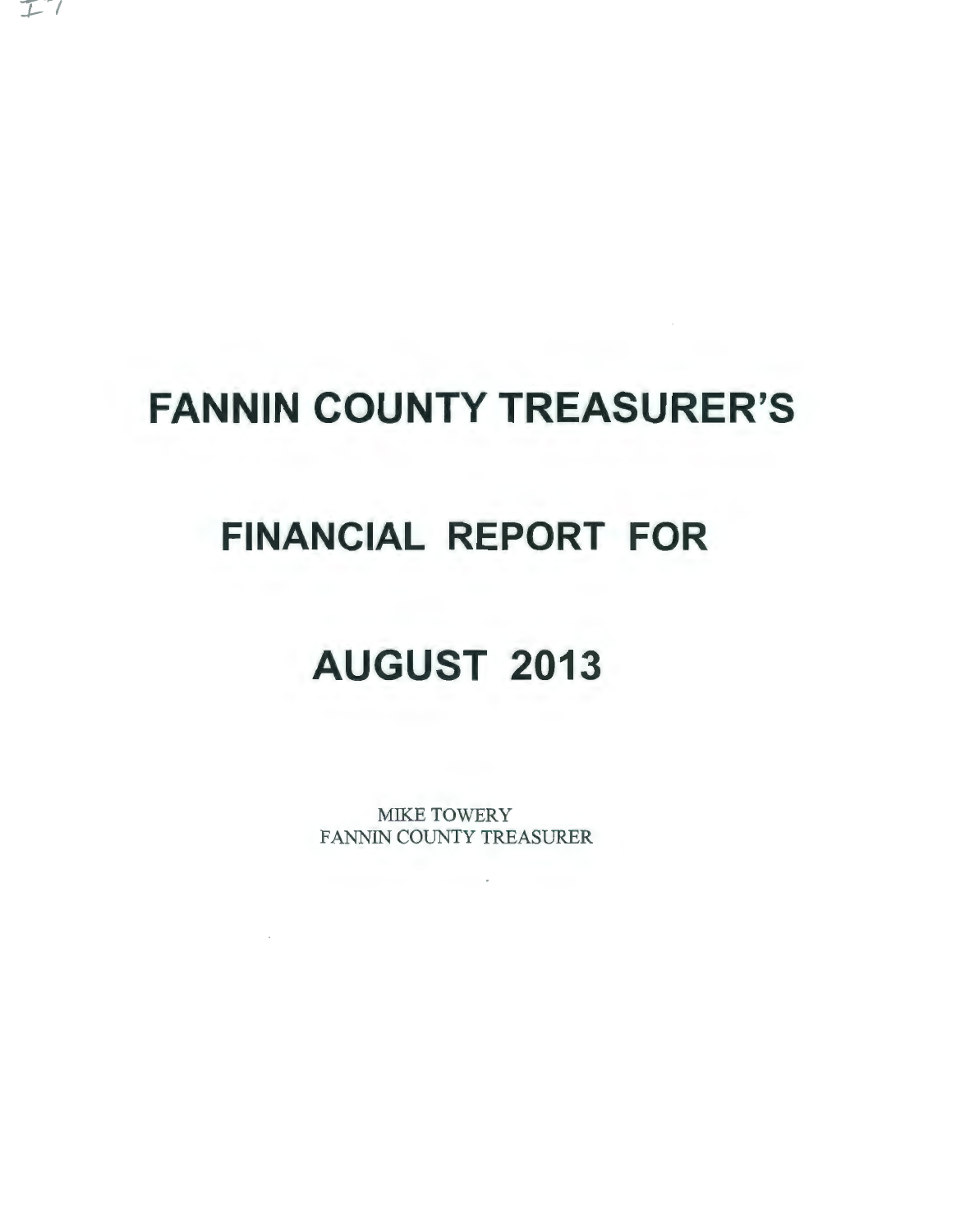# **FANNIN COUNTY TREASURER'S**

 $I$ 

### **FINANCIAL REPORT FOR**

## **AUGUST 2013**

MIKE TOWERY FANNIN COUNTY TREASURER

 $\sim$ 

 $\sim 100$  km s  $^{-1}$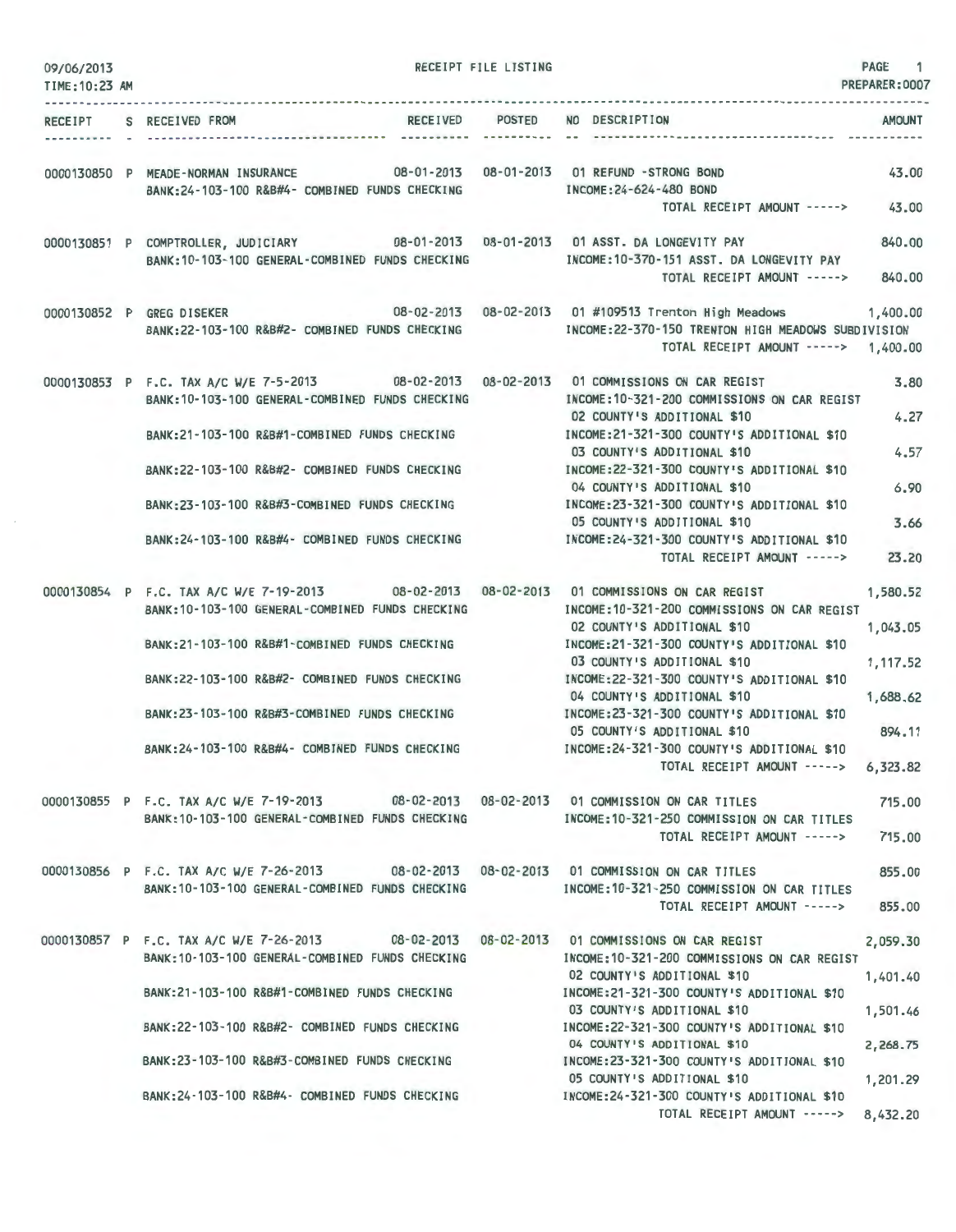| 09/06/2013     |                                                                                                                                               | RECEIPT FILE LISTING |                                                                                             | PAGE 1         |
|----------------|-----------------------------------------------------------------------------------------------------------------------------------------------|----------------------|---------------------------------------------------------------------------------------------|----------------|
| TIME: 10:23 AM |                                                                                                                                               |                      |                                                                                             | PREPARER: 0007 |
|                | RECEIVED POSTED NO DESCRIPTION<br>RECEIPT S RECEIVED FROM                                                                                     |                      |                                                                                             | <b>AMOUNT</b>  |
|                |                                                                                                                                               |                      |                                                                                             |                |
|                | 0000130850 P MEADE-NORMAN INSURANCE 08-01-2013 08-01-2013 01 REFUND -STRONG BOND                                                              |                      |                                                                                             | 43.00          |
|                | BANK:24-103-100 R&B#4- COMBINED FUNDS CHECKING                                                                                                |                      | INCOME: 24-624-480 BOND<br>TOTAL RECEIPT AMOUNT -----> 43.00                                |                |
|                | 0000130851 P COMPTROLLER, JUDICIARY 08-01-2013 08-01-2013 01 ASST. DA LONGEVITY PAY                                                           |                      |                                                                                             | 840,00         |
|                | BANK: 10-103-100 GENERAL-COMBINED FUNDS CHECKING                                                                                              |                      | INCOME: 10-370-151 ASST. DA LONGEVITY PAY                                                   |                |
|                |                                                                                                                                               |                      | TOTAL RECEIPT AMOUNT -----> 840.00                                                          |                |
|                | 0000130852 P GREG DISEKER 08-02-2013 08-02-2013 01 #109513 Trenton High Meadows 1,400.00                                                      |                      |                                                                                             |                |
|                | BANK:22-103-100 R&B#2- COMBINED FUNDS CHECKING                                                                                                |                      | INCOME: 22-370-150 TRENTON HIGH MEADOWS SUBDIVISION<br>TOTAL RECEIPT AMOUNT -----> 1,400.00 |                |
|                | 0000130853 P F.C. TAX A/C W/E 7-5-2013 08-02-2013 08-02-2013 01 COMMISSIONS ON CAR REGIST<br>BANK: 10-103-100 GENERAL-COMBINED FUNDS CHECKING |                      | INCOME: 10-321-200 COMMISSIONS ON CAR REGIST                                                | 3.80           |
|                | BANK:21-103-100 R&B#1-COMBINED FUNDS CHECKING                                                                                                 |                      | 02 COUNTY'S ADDITIONAL \$10<br>INCOME: 21-321-300 COUNTY'S ADDITIONAL \$10                  | 4.27           |
|                | BANK:22-103-100 R&B#2- COMBINED FUNDS CHECKING                                                                                                |                      | 03 COUNTY'S ADDITIONAL \$10<br>INCOME:22-321-300 COUNTY'S ADDITIONAL \$10                   | 4.57           |
|                |                                                                                                                                               |                      | 04 COUNTY'S ADDITIONAL \$10                                                                 | 6.90           |
|                | BANK:23-103-100 R&B#3-COMBINED FUNDS CHECKING                                                                                                 |                      | INCOME: 23-321-300 COUNTY'S ADDITIONAL \$10<br>05 COUNTY'S ADDITIONAL \$10                  | 3.66           |
|                | BANK:24-103-100 R&B#4- COMBINED FUNDS CHECKING                                                                                                |                      | INCOME:24-321-300 COUNTY'S ADDITIONAL \$10<br>TOTAL RECEIPT AMOUNT ----->                   | 23.20          |
|                | 0000130854 P F.C. TAX A/C W/E 7-19-2013 08-02-2013 08-02-2013 01 COMMISSIONS ON CAR REGIST                                                    |                      |                                                                                             | 1,580.52       |
|                | BANK: 10-103-100 GENERAL-COMBINED FUNDS CHECKING                                                                                              |                      | INCOME: 10-321-200 COMMISSIONS ON CAR REGIST<br>02 COUNTY'S ADDITIONAL \$10                 | 1,043.05       |
|                | BANK:21-103-100 R&B#1-COMBINED FUNDS CHECKING                                                                                                 |                      | INCOME:21-321-300 COUNTY'S ADDITIONAL \$10                                                  |                |
|                | BANK:22-103-100 R&B#2- COMBINED FUNDS CHECKING                                                                                                |                      | 03 COUNTY'S ADDITIONAL \$10<br>INCOME:22-321-300 COUNTY'S ADDITIONAL \$10                   | 1,117.52       |
|                | BANK:23-103-100 R&B#3-COMBINED FUNDS CHECKING                                                                                                 |                      | 04 COUNTY'S ADDITIONAL \$10<br>INCOME:23-321-300 COUNTY'S ADDITIONAL \$10                   | 1.688.62       |
|                |                                                                                                                                               |                      | 05 COUNTY'S ADDITIONAL \$10                                                                 | 894.11         |
|                | BANK: 24-103-100 R&B#4- COMBINED FUNDS CHECKING                                                                                               |                      | INCOME:24-321-300 COUNTY'S ADDITIONAL \$10<br>TOTAL RECEIPT AMOUNT ----->                   | 6,323.82       |
|                | 0000130855 P F.C. TAX A/C W/E 7-19-2013 08-02-2013 08-02-2013 01 COMMISSION ON CAR TITLES                                                     |                      |                                                                                             | 715,00         |
|                | BANK: 10-103-100 GENERAL-COMBINED FUNDS CHECKING                                                                                              |                      | INCOME: 10-321-250 COMMISSION ON CAR TITLES<br>TOTAL RECEIPT AMOUNT ----->                  | 715.00         |
|                |                                                                                                                                               |                      |                                                                                             |                |
|                | 0000130856 P F.C. TAX A/C W/E 7-26-2013 08-02-2013 08-02-2013 01 COMMISSION ON CAR TITLES<br>BANK: 10-103-100 GENERAL-COMBINED FUNDS CHECKING |                      | INCOME: 10-321-250 COMMISSION ON CAR TITLES                                                 | 855.00         |
|                |                                                                                                                                               |                      | TOTAL RECEIPT AMOUNT ----->                                                                 | 855.00         |
|                | 0000130857 P F.C. TAX A/C W/E 7-26-2013 08-02-2013 08-02-2013 01 COMMISSIONS ON CAR REGIST                                                    |                      |                                                                                             | 2,059.30       |
|                | BANK:10-103-100 GENERAL-COMBINED FUNDS CHECKING                                                                                               |                      | INCOME: 10-321-200 COMMISSIONS ON CAR REGIST<br>02 COUNTY'S ADDITIONAL \$10                 | 1,401.40       |
|                | BANK:21-103-100 R&B#1-COMBINED FUNDS CHECKING                                                                                                 |                      | INCOME:21-321-300 COUNTY'S ADDITIONAL \$10<br>03 COUNTY'S ADDITIONAL \$10                   | 1,501.46       |
|                | BANK:22-103-100 R&B#2- COMBINED FUNDS CHECKING                                                                                                |                      | INCOME:22-321-300 COUNTY'S ADDITIONAL \$10<br>04 COUNTY'S ADDITIONAL \$10                   | 2,268.75       |
|                | BANK:23-103-100 R&B#3-COMBINED FUNDS CHECKING                                                                                                 |                      | INCOME: 23-321-300 COUNTY'S ADDITIONAL \$10                                                 |                |
|                | BANK:24-103-100 R&B#4- COMBINED FUNDS CHECKING                                                                                                |                      | 05 COUNTY'S ADDITIONAL \$10<br>INCOME:24-321-300 COUNTY'S ADDITIONAL \$10                   | 1,201.29       |
|                |                                                                                                                                               |                      | TOTAL RECEIPT AMOUNT -----> 8,432.20                                                        |                |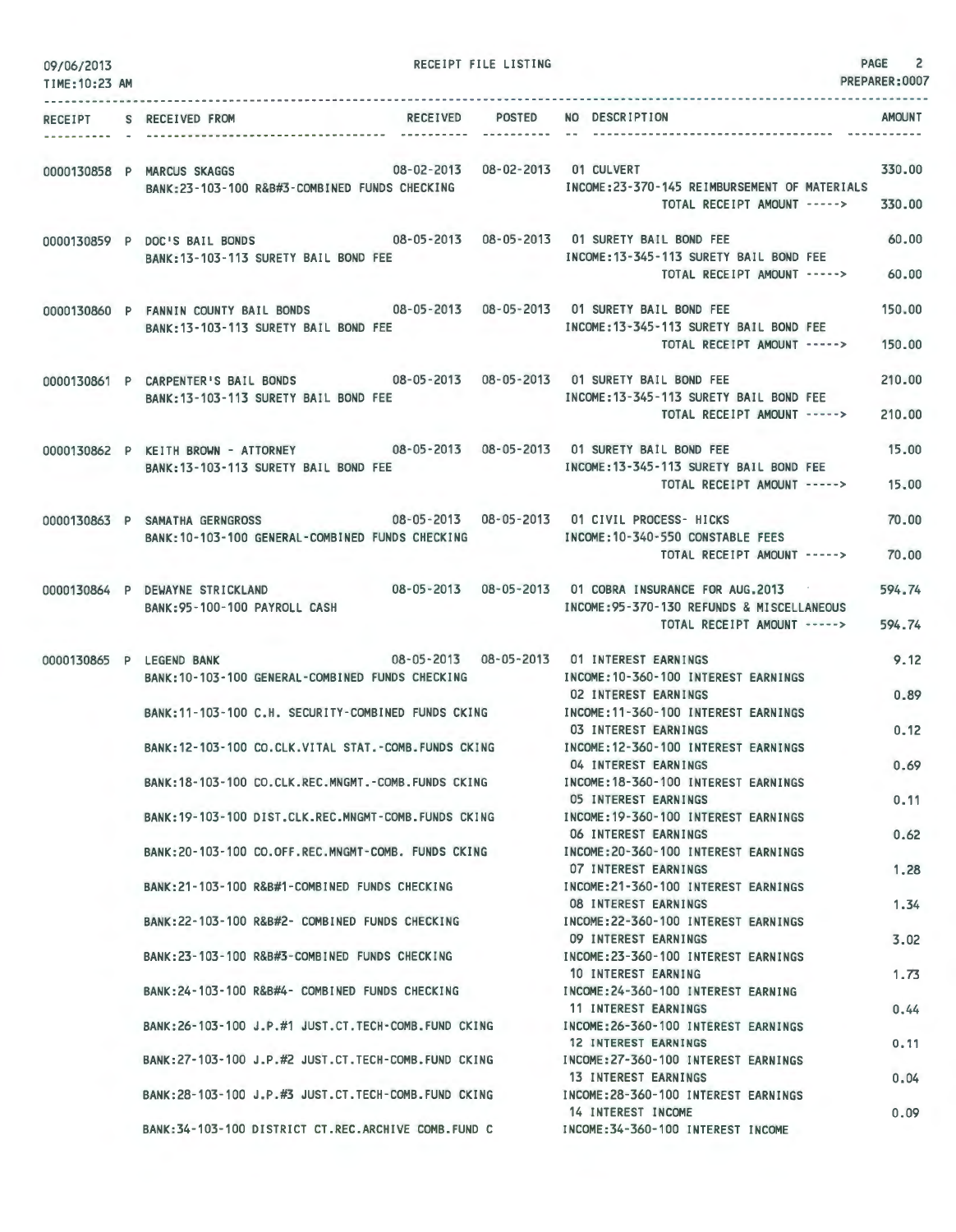| 09/06/2013<br>TIME: 10:23 AM | RECEIPT FILE LISTING                                                                                                                  |                                                                                                              | <b>PAGE</b><br>$\overline{c}$<br>PREPARER:0007 |
|------------------------------|---------------------------------------------------------------------------------------------------------------------------------------|--------------------------------------------------------------------------------------------------------------|------------------------------------------------|
| RECEIPT                      | RECEIVED POSTED<br>S RECEIVED FROM<br>----------                                                                                      | NO DESCRIPTION                                                                                               | AMOUNT                                         |
|                              | 08-02-2013  08-02-2013  01 CULVERT<br>0000130858 P MARCUS SKAGGS<br>BANK:23-103-100 R&B#3-COMBINED FUNDS CHECKING                     | INCOME: 23-370-145 REIMBURSEMENT OF MATERIALS<br>TOTAL RECEIPT AMOUNT ----->                                 | 330.00<br>330.00                               |
|                              | 0000130859 P DOC'S BAIL BONDS 08-05-2013 08-05-2013 01 SURETY BAIL BOND FEE<br>BANK: 13-103-113 SURETY BAIL BOND FEE                  | INCOME: 13-345-113 SURETY BAIL BOND FEE<br>TOTAL RECEIPT AMOUNT ----->                                       | 60.00<br>60.00                                 |
|                              | 0000130860 P FANNIN COUNTY BAIL BONDS<br>BANK: 13-103-113 SURETY BAIL BOND FEE                                                        | INCOME: 13-345-113 SURETY BAIL BOND FEE<br>TOTAL RECEIPT AMOUNT ----->                                       | 150,00<br>150,00                               |
|                              | 0000130861 P CARPENTER'S BAIL BONDS 08-05-2013 08-05-2013 01 SURETY BAIL BOND FEE<br>BANK:13-103-113 SURETY BAIL BOND FEE             | INCOME: 13-345-113 SURETY BAIL BOND FEE<br>TOTAL RECEIPT AMOUNT ----->                                       | 210.00<br>210.00                               |
|                              | 0000130862 P KEITH BROWN - ATTORNEY 08-05-2013 08-05-2013 01 SURETY BAIL BOND FEE<br>BANK: 13-103-113 SURETY BAIL BOND FEE            | INCOME: 13-345-113 SURETY BAIL BOND FEE<br>TOTAL RECEIPT AMOUNT ----->                                       | 15.00<br>15,00                                 |
|                              | 08-05-2013  08-05-2013  01 CIVIL PROCESS- HICKS<br>0000130863 P SAMATHA GERNGROSS<br>BANK: 10-103-100 GENERAL-COMBINED FUNDS CHECKING | INCOME:10-340-550 CONSTABLE FEES<br>TOTAL RECEIPT AMOUNT ----->                                              | 70.00<br>70,00                                 |
|                              | 08-05-2013 08-05-2013<br>0000130864 P DEWAYNE STRICKLAND<br>BANK: 95-100-100 PAYROLL CASH                                             | 01 COBRA INSURANCE FOR AUG.2013<br>INCOME: 95-370-130 REFUNDS & MISCELLANEOUS<br>TOTAL RECEIPT AMOUNT -----> | 594.74<br>594.74                               |
| 0000130865 P LEGEND BANK     | 08-05-2013  08-05-2013  01 INTEREST EARNINGS<br>BANK: 10-103-100 GENERAL-COMBINED FUNDS CHECKING                                      | INCOME: 10-360-100 INTEREST EARNINGS                                                                         | 9.12                                           |
|                              | BANK: 11-103-100 C.H. SECURITY-COMBINED FUNDS CKING                                                                                   | <b>02 INTEREST EARNINGS</b><br>INCOME: 11-360-100 INTEREST EARNINGS<br>03 INTEREST EARNINGS                  | 0.89<br>0.12                                   |
|                              | BANK: 12-103-100 CO.CLK.VITAL STAT.-COMB.FUNDS CKING                                                                                  | INCOME: 12-360-100 INTEREST EARNINGS<br>04 INTEREST EARNINGS                                                 | 0.69                                           |
|                              | BANK: 18-103-100 CO.CLK.REC.MNGMT.-COMB.FUNDS CKING<br>BANK:19-103-100 DIST.CLK.REC.MNGMT-COMB.FUNDS CKING                            | INCOME: 18-360-100 INTEREST EARNINGS<br>05 INTEREST EARNINGS<br>INCOME: 19-360-100 INTEREST EARNINGS         | 0.11                                           |
|                              | BANK:20-103-100 CO.OFF.REC.MNGMT-COMB. FUNDS CKING                                                                                    | 06 INTEREST EARNINGS<br>INCOME: 20-360-100 INTEREST EARNINGS                                                 | 0.62                                           |
|                              | BANK: 21-103-100 R&B#1-COMBINED FUNDS CHECKING                                                                                        | 07 INTEREST EARNINGS<br>INCOME: 21-360-100 INTEREST EARNINGS<br><b>08 INTEREST EARNINGS</b>                  | 1,28<br>1.34                                   |
|                              | BANK: 22-103-100 R&B#2- COMBINED FUNDS CHECKING                                                                                       | INCOME: 22-360-100 INTEREST EARNINGS<br>09 INTEREST EARNINGS                                                 | 3.02                                           |
|                              | BANK:23-103-100 R&B#3-COMBINED FUNDS CHECKING<br>BANK:24-103-100 R&B#4- COMBINED FUNDS CHECKING                                       | INCOME: 23-360-100 INTEREST EARNINGS<br>10 INTEREST EARNING<br>INCOME: 24-360-100 INTEREST EARNING           | 1.73                                           |
|                              | BANK:26-103-100 J.P.#1 JUST.CT.TECH-COMB.FUND CKING                                                                                   | 11 INTEREST EARNINGS<br>INCOME: 26-360-100 INTEREST EARNINGS                                                 | 0.44                                           |
|                              | BANK: 27-103-100 J.P.#2 JUST.CT. TECH-COMB. FUND CKING                                                                                | 12 INTEREST EARNINGS<br>INCOME: 27-360-100 INTEREST EARNINGS<br>13 INTEREST EARNINGS                         | 0.11<br>0.04                                   |
|                              | BANK:28-103-100 J.P.#3 JUST.CT.TECH-COMB.FUND CKING                                                                                   | INCOME: 28-360-100 INTEREST EARNINGS<br>14 INTEREST INCOME                                                   | 0.09                                           |
|                              | BANK: 34-103-100 DISTRICT CT.REC.ARCHIVE COMB.FUND C                                                                                  | INCOME: 34-360-100 INTEREST INCOME                                                                           |                                                |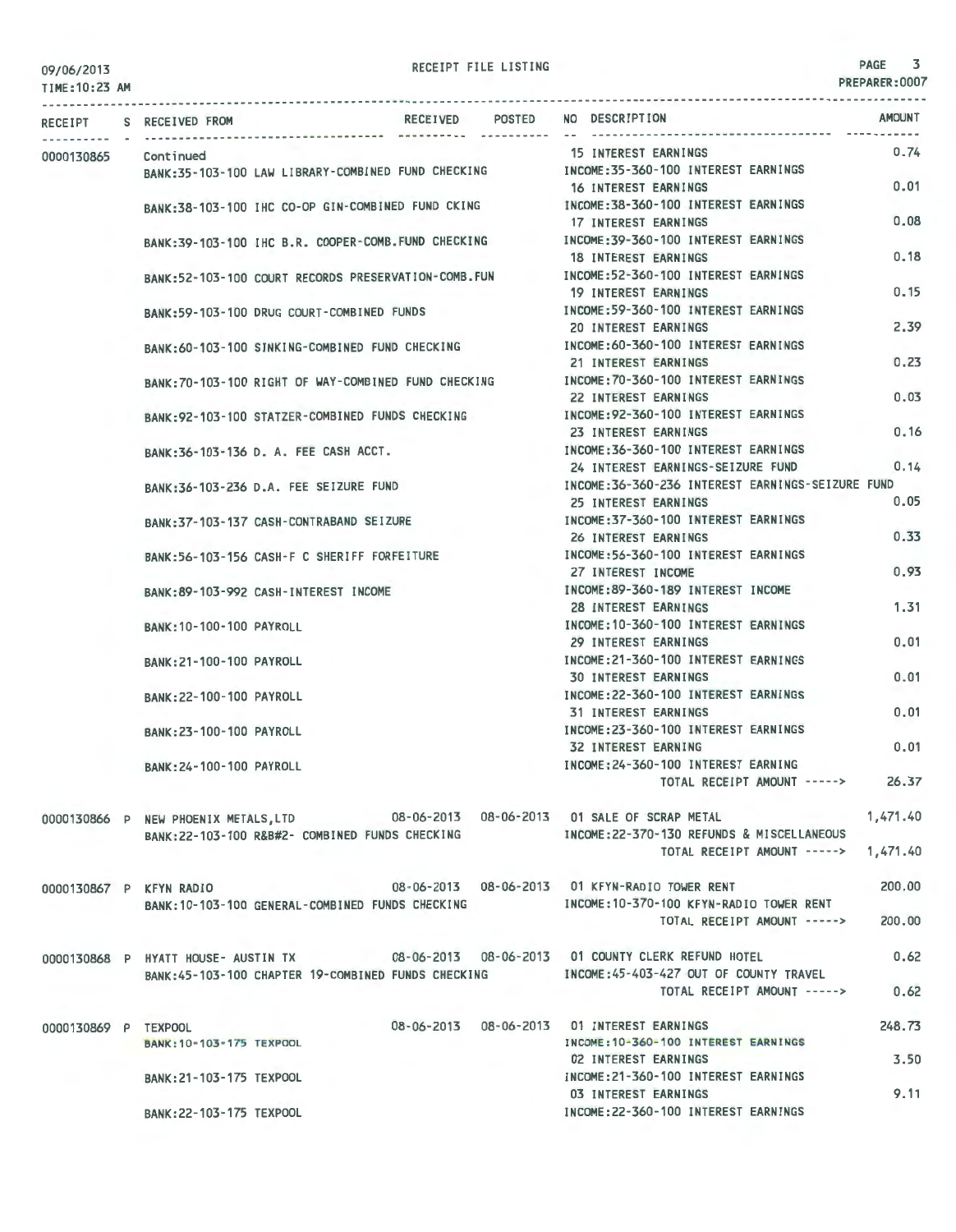TIME:10:23 AM

|                      | RECEIPT S RECEIVED FROM                                                                | RECEIVED | <b>POSTED</b> | NO DESCRIPTION                                                                           | <b>AMOUNT</b> |
|----------------------|----------------------------------------------------------------------------------------|----------|---------------|------------------------------------------------------------------------------------------|---------------|
| 0000130865           | Continued                                                                              |          |               | <b>15 INTEREST EARNINGS</b>                                                              | 0.74          |
|                      | BANK:35-103-100 LAW LIBRARY-COMBINED FUND CHECKING                                     |          |               | INCOME: 35-360-100 INTEREST EARNINGS                                                     |               |
|                      |                                                                                        |          |               | 16 INTEREST EARNINGS                                                                     | 0.01          |
|                      | BANK:38-103-100 IHC CO-OP GIN-COMBINED FUND CKING                                      |          |               | INCOME: 38-360-100 INTEREST EARNINGS                                                     |               |
|                      |                                                                                        |          |               | 17 INTEREST EARNINGS                                                                     | 0.08          |
|                      | BANK:39-103-100 IHC B.R. COOPER-COMB.FUND CHECKING                                     |          |               | INCOME: 39-360-100 INTEREST EARNINGS                                                     |               |
|                      |                                                                                        |          |               | <b>18 INTEREST EARNINGS</b>                                                              | 0.18          |
|                      | BANK:52-103-100 COURT RECORDS PRESERVATION-COMB. FUN                                   |          |               | INCOME: 52-360-100 INTEREST EARNINGS                                                     |               |
|                      |                                                                                        |          |               | <b>19 INTEREST EARNINGS</b>                                                              | 0.15          |
|                      |                                                                                        |          |               | INCOME: 59-360-100 INTEREST EARNINGS                                                     |               |
|                      | BANK:59-103-100 DRUG COURT-COMBINED FUNDS                                              |          |               | <b>20 INTEREST EARNINGS</b>                                                              | 2.39          |
|                      |                                                                                        |          |               | INCOME: 60-360-100 INTEREST EARNINGS                                                     |               |
|                      | BANK:60-103-100 SINKING-COMBINED FUND CHECKING                                         |          |               |                                                                                          | 0.23          |
|                      |                                                                                        |          |               | 21 INTEREST EARNINGS                                                                     |               |
|                      | BANK:70-103-100 RIGHT OF WAY-COMBINED FUND CHECKING                                    |          |               | INCOME: 70-360-100 INTEREST EARNINGS                                                     | 0.03          |
|                      |                                                                                        |          |               | 22 INTEREST EARNINGS                                                                     |               |
|                      | BANK:92-103-100 STATZER-COMBINED FUNDS CHECKING                                        |          |               | INCOME: 92-360-100 INTEREST EARNINGS                                                     |               |
|                      |                                                                                        |          |               | 23 INTEREST EARNINGS                                                                     | 0.16          |
|                      | BANK:36-103-136 D. A. FEE CASH ACCT.                                                   |          |               | INCOME: 36-360-100 INTEREST EARNINGS                                                     |               |
|                      |                                                                                        |          |               | 24 INTEREST EARNINGS-SEIZURE FUND                                                        | 0.14          |
|                      | BANK: 36-103-236 D.A. FEE SEIZURE FUND                                                 |          |               | INCOME: 36-360-236 INTEREST EARNINGS-SEIZURE FUND                                        |               |
|                      |                                                                                        |          |               | 25 INTEREST EARNINGS                                                                     | 0.05          |
|                      | BANK: 37-103-137 CASH-CONTRABAND SEIZURE                                               |          |               | INCOME: 37-360-100 INTEREST EARNINGS                                                     |               |
|                      |                                                                                        |          |               | 26 INTEREST EARNINGS                                                                     | 0.33          |
|                      | BANK:56-103-156 CASH-F C SHERIFF FORFEITURE                                            |          |               | INCOME: 56-360-100 INTEREST EARNINGS                                                     |               |
|                      |                                                                                        |          |               | 27 INTEREST INCOME                                                                       | 0.93          |
|                      | BANK: 89-103-992 CASH-INTEREST INCOME                                                  |          |               | INCOME:89-360-189 INTEREST INCOME                                                        |               |
|                      |                                                                                        |          |               | 28 INTEREST EARNINGS                                                                     | 1.31          |
|                      | BANK: 10-100-100 PAYROLL                                                               |          |               | INCOME: 10-360-100 INTEREST EARNINGS                                                     |               |
|                      |                                                                                        |          |               | 29 INTEREST EARNINGS                                                                     | 0.01          |
|                      | BANK: 21-100-100 PAYROLL                                                               |          |               | INCOME:21-360-100 INTEREST EARNINGS                                                      |               |
|                      |                                                                                        |          |               | <b>30 INTEREST EARNINGS</b>                                                              | 0.01          |
|                      | BANK: 22-100-100 PAYROLL                                                               |          |               | INCOME: 22-360-100 INTEREST EARNINGS                                                     |               |
|                      |                                                                                        |          |               | <b>31 INTEREST EARNINGS</b>                                                              | 0.01          |
|                      | BANK: 23-100-100 PAYROLL                                                               |          |               | INCOME: 23-360-100 INTEREST EARNINGS                                                     |               |
|                      |                                                                                        |          |               | 32 INTEREST EARNING                                                                      | 0.01          |
|                      | BANK: 24-100-100 PAYROLL                                                               |          |               | INCOME: 24-360-100 INTEREST EARNING                                                      |               |
|                      |                                                                                        |          |               | TOTAL RECEIPT AMOUNT ----->                                                              | 26.37         |
|                      |                                                                                        |          |               |                                                                                          |               |
|                      | 0000130866 P NEW PHOENIX METALS, LTD 08-06-2013 08-06-2013 01 SALE OF SCRAP METAL      |          |               | <b>Contract Contract</b>                                                                 | 1,471.40      |
|                      |                                                                                        |          |               | BANK:22-103-100 R&B#2- COMBINED FUNDS CHECKING MODE:22-370-130 REFUNDS & MISCELLANEOUS   |               |
|                      |                                                                                        |          |               | TOTAL RECEIPT AMOUNT -----> 1,471.40                                                     |               |
|                      |                                                                                        |          |               |                                                                                          |               |
|                      |                                                                                        |          |               |                                                                                          | 200,00        |
|                      | 0000130867 P KFYN RADIO                                                                |          |               | 08-06-2013  08-06-2013  01 KFYN-RADIO TOWER RENT                                         |               |
|                      | BANK: 10-103-100 GENERAL-COMBINED FUNDS CHECKING                                       |          |               | INCOME:10-370-100 KFYN-RADIO TOWER RENT                                                  |               |
|                      |                                                                                        |          |               | TOTAL RECEIPT AMOUNT ----->                                                              | 200,00        |
|                      |                                                                                        |          |               |                                                                                          |               |
|                      | 0000130868 P HYATT HOUSE- AUSTIN TX 08-06-2013 08-06-2013 01 COUNTY CLERK REFUND HOTEL |          |               |                                                                                          | 0.62          |
|                      |                                                                                        |          |               | BANK:45-103-100 CHAPTER 19-COMBINED FUNDS CHECKING MOOME:45-403-427 OUT OF COUNTY TRAVEL |               |
|                      |                                                                                        |          |               | TOTAL RECEIPT AMOUNT ----->                                                              | 0.62          |
|                      |                                                                                        |          |               |                                                                                          |               |
| 0000130869 P TEXPOOL |                                                                                        |          |               | 08-06-2013  08-06-2013  01 INTEREST EARNINGS                                             | 248.73        |
|                      | BANK: 10-103-175 TEXPOOL                                                               |          |               | INCOME: 10-360-100 INTEREST EARNINGS                                                     |               |
|                      |                                                                                        |          |               | <b>02 INTEREST EARNINGS</b>                                                              | 3.50          |
|                      | BANK: 21-103-175 TEXPOOL                                                               |          |               | INCOME: 21-360-100 INTEREST EARNINGS                                                     |               |
|                      |                                                                                        |          |               | <b>03 INTEREST EARNINGS</b>                                                              | 9.11          |
|                      | BANK: 22-103-175 TEXPOOL                                                               |          |               | INCOME: 22-360-100 INTEREST EARNINGS                                                     |               |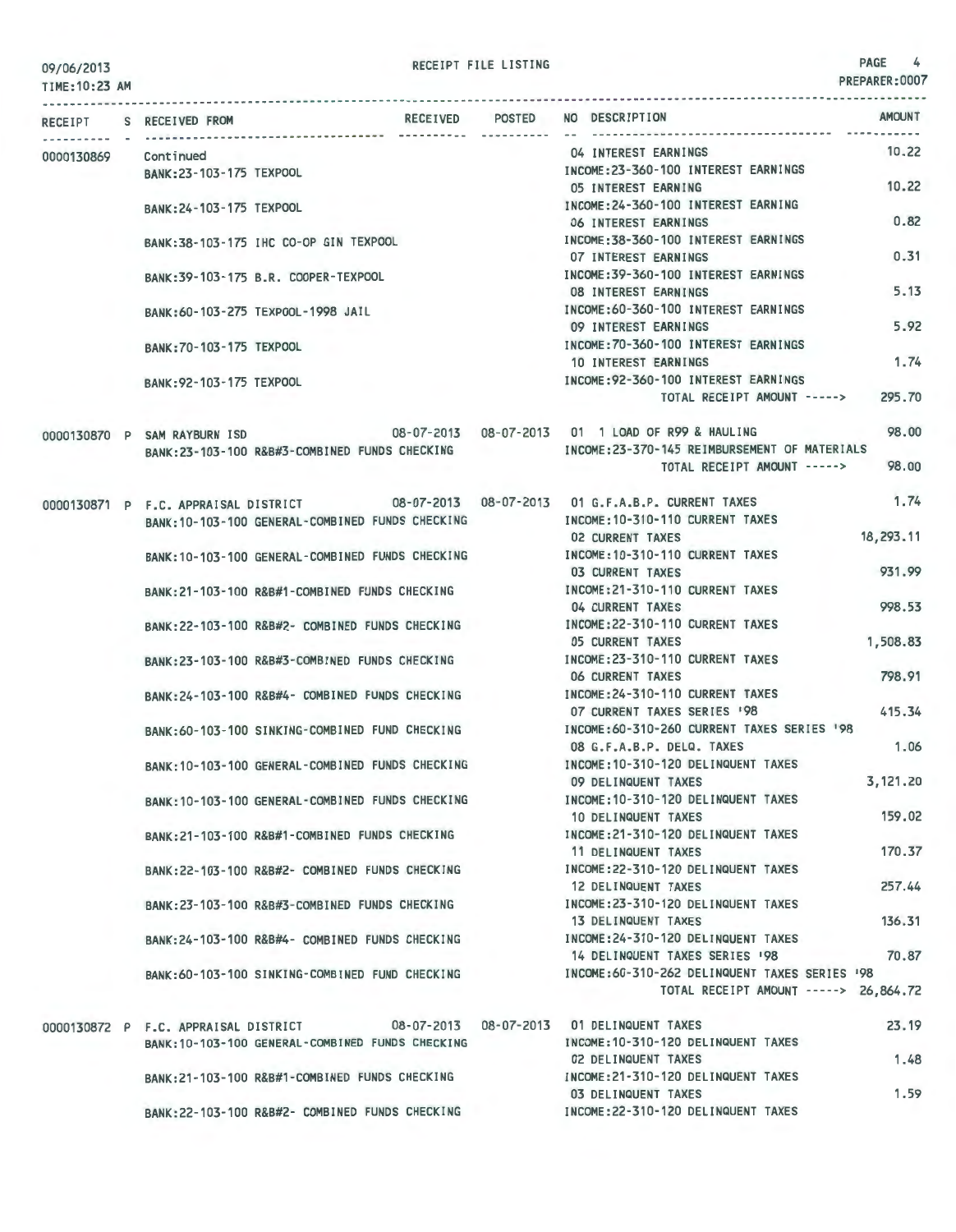TIME:10:23 AM

| RECEIPT    | S RECEIVED FROM                      |                                                  | RECEIVED POSTED | <b>AMOUNT</b><br>NO DESCRIPTION                                                        |        |
|------------|--------------------------------------|--------------------------------------------------|-----------------|----------------------------------------------------------------------------------------|--------|
| 0000130869 | Continued                            |                                                  |                 | 04 INTEREST EARNINGS                                                                   | 10.22  |
|            | BANK: 23-103-175 TEXPOOL             |                                                  |                 | INCOME: 23-360-100 INTEREST EARNINGS                                                   |        |
|            |                                      |                                                  |                 | 05 INTEREST EARNING                                                                    | 10.22  |
|            | BANK: 24-103-175 TEXPOOL             |                                                  |                 | INCOME: 24-360-100 INTEREST EARNING                                                    |        |
|            |                                      |                                                  |                 | 06 INTEREST EARNINGS                                                                   | 0.82   |
|            |                                      | BANK: 38-103-175 IHC CO-OP GIN TEXPOOL           |                 | INCOME: 38-360-100 INTEREST EARNINGS                                                   |        |
|            |                                      |                                                  |                 | <b>07 INTEREST EARNINGS</b>                                                            | 0.31   |
|            |                                      | BANK: 39-103-175 B.R. COOPER-TEXPOOL             |                 | INCOME: 39-360-100 INTEREST EARNINGS                                                   |        |
|            |                                      |                                                  |                 | <b>08 INTEREST EARNINGS</b>                                                            | 5.13   |
|            |                                      | BANK: 60-103-275 TEXPOOL-1998 JAIL               |                 | INCOME: 60-360-100 INTEREST EARNINGS                                                   |        |
|            |                                      |                                                  |                 | 09 INTEREST EARNINGS                                                                   | 5.92   |
|            | BANK: 70-103-175 TEXPOOL             |                                                  |                 | INCOME: 70-360-100 INTEREST EARNINGS                                                   |        |
|            |                                      |                                                  |                 | 10 INTEREST EARNINGS                                                                   | 1.74   |
|            | BANK: 92-103-175 TEXPOOL             |                                                  |                 | INCOME: 92-360-100 INTEREST EARNINGS                                                   |        |
|            |                                      |                                                  |                 | 295.70<br>TOTAL RECEIPT AMOUNT ----->                                                  |        |
|            |                                      |                                                  |                 |                                                                                        |        |
|            | 0000130870 P SAM RAYBURN ISD         |                                                  |                 | 08-07-2013  08-07-2013  01  1  LOAD OF R99 & HAULING                                   | 98.00  |
|            |                                      | BANK:23-103-100 R&B#3-COMBINED FUNDS CHECKING    |                 | INCOME: 23-370-145 REIMBURSEMENT OF MATERIALS                                          |        |
|            |                                      |                                                  |                 | TOTAL RECEIPT AMOUNT ----->                                                            | 98.00  |
|            |                                      |                                                  |                 |                                                                                        |        |
|            |                                      |                                                  |                 | 0000130871 P F.C. APPRAISAL DISTRICT 08-07-2013 08-07-2013 01 G.F.A.B.P. CURRENT TAXES | 1.74   |
|            |                                      | BANK: 10-103-100 GENERAL-COMBINED FUNDS CHECKING |                 | INCOME: 10-310-110 CURRENT TAXES                                                       |        |
|            |                                      |                                                  |                 | 18,293.11<br>02 CURRENT TAXES                                                          |        |
|            |                                      | BANK: 10-103-100 GENERAL-COMBINED FUNDS CHECKING |                 | INCOME: 10-310-110 CURRENT TAXES                                                       |        |
|            |                                      |                                                  |                 | 931.99<br><b>03 CURRENT TAXES</b>                                                      |        |
|            |                                      | BANK: 21-103-100 R&B#1-COMBINED FUNDS CHECKING   |                 | INCOME: 21-310-110 CURRENT TAXES                                                       |        |
|            |                                      |                                                  |                 | 998.53<br>04 CURRENT TAXES                                                             |        |
|            |                                      | BANK:22-103-100 R&B#2- COMBINED FUNDS CHECKING   |                 | INCOME: 22-310-110 CURRENT TAXES                                                       |        |
|            |                                      |                                                  |                 | 1,508.83<br><b>05 CURRENT TAXES</b>                                                    |        |
|            |                                      | BANK:23-103-100 R&B#3-COMBINED FUNDS CHECKING    |                 | INCOME: 23-310-110 CURRENT TAXES                                                       |        |
|            |                                      |                                                  |                 | 798.91<br>06 CURRENT TAXES                                                             |        |
|            |                                      | BANK:24-103-100 R&B#4- COMBINED FUNDS CHECKING   |                 | INCOME: 24-310-110 CURRENT TAXES                                                       |        |
|            |                                      |                                                  |                 | 415.34<br>07 CURRENT TAXES SERIES '98                                                  |        |
|            |                                      | BANK:60-103-100 SINKING-COMBINED FUND CHECKING   |                 | INCOME: 60-310-260 CURRENT TAXES SERIES '98                                            |        |
|            |                                      |                                                  |                 | 08 G.F.A.B.P. DELQ. TAXES                                                              | 1.06   |
|            |                                      | BANK: 10-103-100 GENERAL-COMBINED FUNDS CHECKING |                 | INCOME: 10-310-120 DELINQUENT TAXES                                                    |        |
|            |                                      |                                                  |                 | 3,121,20<br>09 DELINQUENT TAXES                                                        |        |
|            |                                      | BANK: 10-103-100 GENERAL-COMBINED FUNDS CHECKING |                 | INCOME: 10-310-120 DELINQUENT TAXES                                                    |        |
|            |                                      |                                                  |                 | 10 DELINQUENT TAXES                                                                    | 159.02 |
|            |                                      | RANK: 21-103-100 R&B#1-COMBINED FUNDS CHECKING   |                 | INCOME: 21-310-120 DELINQUENT TAXES                                                    |        |
|            |                                      |                                                  |                 | 11 DELINQUENT TAXES                                                                    | 170.37 |
|            |                                      | BANK:22-103-100 R&B#2- COMBINED FUNDS CHECKING   |                 | INCOME: 22-310-120 DELINQUENT TAXES                                                    |        |
|            |                                      |                                                  |                 | 12 DELINQUENT TAXES                                                                    | 257.44 |
|            |                                      | BANK: 23-103-100 R&B#3-COMBINED FUNDS CHECKING   |                 | INCOME: 23-310-120 DELINQUENT TAXES                                                    |        |
|            |                                      |                                                  |                 | 13 DELINQUENT TAXES                                                                    | 136.31 |
|            |                                      | BANK:24-103-100 R&B#4- COMBINED FUNDS CHECKING   |                 | INCOME: 24-310-120 DELINQUENT TAXES                                                    |        |
|            |                                      |                                                  |                 | 14 DELINQUENT TAXES SERIES '98                                                         | 70.87  |
|            |                                      | RANK:60-103-100 SINKING-COMBINED FUND CHECKING   |                 | INCOME:60-310-262 DELINQUENT TAXES SERIES '98                                          |        |
|            |                                      |                                                  |                 | TOTAL RECEIPT AMOUNT -----> 26,864.72                                                  |        |
|            | 0000130872 P F.C. APPRAISAL DISTRICT |                                                  |                 | 08-07-2013  08-07-2013  01 DELINQUENT TAXES                                            | 23.19  |
|            |                                      | BANK: 10-103-100 GENERAL-COMBINED FUNDS CHECKING |                 | INCOME: 10-310-120 DELINQUENT TAXES                                                    |        |
|            |                                      |                                                  |                 | 02 DELINQUENT TAXES                                                                    | 1.48   |
|            |                                      | BANK:21-103-100 R&B#1-COMBINED FUNDS CHECKING    |                 | INCOME: 21-310-120 DELINQUENT TAXES                                                    |        |
|            |                                      |                                                  |                 | <b>03 DELINQUENT TAXES</b>                                                             | 1.59   |
|            |                                      | BANK: 22-103-100 R&B#2- COMBINED FUNDS CHECKING  |                 | INCOME: 22-310-120 DELINQUENT TAXES                                                    |        |
|            |                                      |                                                  |                 |                                                                                        |        |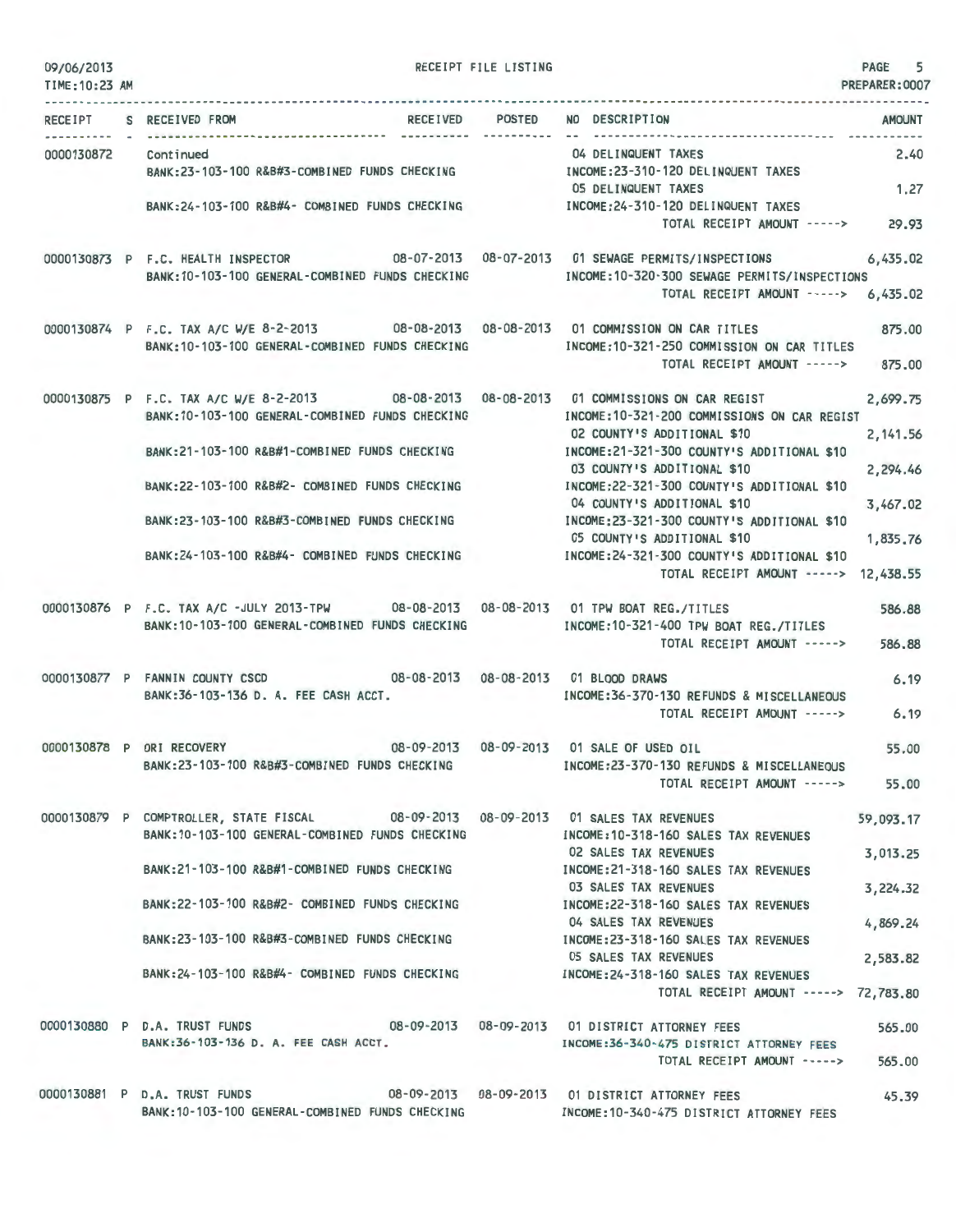| 09/06/2013<br>TIME: 10:23 AM        |                                                                                                                                                                                                                                                                                                                                                      | RECEIPT FILE LISTING |                                                                                                                                                                                                                                                                       | PAGE 5<br>PREPARER: 0007                                  |
|-------------------------------------|------------------------------------------------------------------------------------------------------------------------------------------------------------------------------------------------------------------------------------------------------------------------------------------------------------------------------------------------------|----------------------|-----------------------------------------------------------------------------------------------------------------------------------------------------------------------------------------------------------------------------------------------------------------------|-----------------------------------------------------------|
|                                     | RECEIVED POSTED NO DESCRIPTION<br>RECEIPT S RECEIVED FROM                                                                                                                                                                                                                                                                                            |                      |                                                                                                                                                                                                                                                                       | <b>AMOUNT</b>                                             |
| --------- -<br>0000130872 Continued | BANK:23-103-100 R&B#3-COMBINED FUNDS CHECKING                                                                                                                                                                                                                                                                                                        |                      | 04 DELINQUENT TAXES<br>INCOME:23-310-120 DELINQUENT TAXES                                                                                                                                                                                                             | 2.40                                                      |
|                                     | BANK:24-103-100 R&B#4- COMBINED FUNDS CHECKING [INCOME:24-310-120 DELINQUENT TAXES                                                                                                                                                                                                                                                                   |                      | 05 DELINQUENT TAXES<br>TOTAL RECEIPT AMOUNT -----> 29.93                                                                                                                                                                                                              | 1.27                                                      |
|                                     | 0000130873 P F.C. HEALTH INSPECTOR 08-07-2013 08-07-2013 01 SEWAGE PERMITS/INSPECTIONS 6,435.02<br>BANK: 10-103-100 GENERAL-COMBINED FUNDS CHECKING                                                                                                                                                                                                  |                      | INCOME: 10-320-300 SEWAGE PERMITS/INSPECTIONS<br>TOTAL RECEIPT AMOUNT -----> 6,435.02                                                                                                                                                                                 |                                                           |
|                                     | 0000130874 P F.C. TAX A/C W/E 8-2-2013 08-08-2013 08-08-2013 01 COMMISSION ON CAR TITLES<br>BANK: 10-103-100 GENERAL-COMBINED FUNDS CHECKING                                                                                                                                                                                                         |                      | INCOME:10-321-250 COMMISSION ON CAR TITLES<br>TOTAL RECEIPT AMOUNT -----> 875.00                                                                                                                                                                                      | 875.00                                                    |
|                                     | 0000130875 P F.C. TAX A/C W/E 8-2-2013 08-08-2013 08-08-2013 01 COMMISSIONS ON CAR REGIST<br>BANK: 10-103-100 GENERAL-COMBINED FUNDS CHECKING<br>BANK:21-103-100 R&B#1-COMBINED FUNDS CHECKING MANUSIC INCOME:21-321-300 COUNTY'S ADDITIONAL \$10<br>BANK:22-103-100 R&B#2- COMBINED FUNDS CHECKING<br>BANK:23-103-100 R&B#3-COMBINED FUNDS CHECKING |                      | INCOME: 10-321-200 COMMISSIONS ON CAR REGIST<br>02 COUNTY'S ADDITIONAL \$10<br>03 COUNTY'S ADDITIONAL \$10<br>INCOME:22-321-300 COUNTY'S ADDITIONAL \$10<br>04 COUNTY'S ADDITIONAL \$10<br>INCOME: 23-321-300 COUNTY'S ADDITIONAL \$10<br>05 COUNTY'S ADDITIONAL \$10 | 2,699.75<br>2, 141.56<br>2,294.46<br>3,467.02<br>1,835.76 |
|                                     | BANK: 24-103-100 R&B#4- COMBINED FUNDS CHECKING                                                                                                                                                                                                                                                                                                      |                      | INCOME: 24-321-300 COUNTY'S ADDITIONAL \$10<br>TOTAL RECEIPT AMOUNT -----> 12,438.55                                                                                                                                                                                  |                                                           |
|                                     | 0000130876 P F.C. TAX A/C -JULY 2013-TPW 08-08-2013 08-08-2013 01 TPW BOAT REG./TITLES<br>BANK: 10-103-100 GENERAL-COMBINED FUNDS CHECKING                                                                                                                                                                                                           |                      | INCOME: 10-321-400 TPW BOAT REG./TITLES<br>TOTAL RECEIPT AMOUNT -----> 586.88                                                                                                                                                                                         | 586.88                                                    |
|                                     | 0000130877 P FANNIN COUNTY CSCD 08-08-2013 08-08-2013 01 BLOOD DRAWS<br>BANK: 36-103-136 D. A. FEE CASH ACCT.                                                                                                                                                                                                                                        |                      | INCOME:36-370-130 REFUNDS & MISCELLANEOUS<br>TOTAL RECEIPT AMOUNT ----->                                                                                                                                                                                              | 6.19<br>6.19                                              |
|                                     | 08-09-2013  08-09-2013  01 SALE OF USED OIL<br>0000130878 P ORI RECOVERY<br>BANK:23-103-100 R&B#3-COMBINED FUNDS CHECKING                                                                                                                                                                                                                            |                      | INCOME:23-370-130 REFUNDS & MISCELLANEOUS<br>TOTAL RECEIPT AMOUNT ----->                                                                                                                                                                                              | 55.00<br>55,00                                            |
|                                     | 0000130879 P COMPTROLLER, STATE FISCAL 08-09-2013 08-09-2013 01 SALES TAX REVENUES<br>BANK: 10-103-100 GENERAL-COMBINED FUNDS CHECKING                                                                                                                                                                                                               |                      | INCOME: 10-318-160 SALES TAX REVENUES<br>02 SALES TAX REVENUES                                                                                                                                                                                                        | 59,093.17<br>3,013.25                                     |
|                                     | BANK: 21-103-100 R&B#1-COMBINED FUNDS CHECKING<br>BANK:22-103-100 R&B#2- COMBINED FUNDS CHECKING                                                                                                                                                                                                                                                     |                      | INCOME: 21-318-160 SALES TAX REVENUES<br>03 SALES TAX REVENUES<br>INCOME: 22-318-160 SALES TAX REVENUES                                                                                                                                                               | 3,224.32                                                  |
|                                     | BANK:23-103-100 R&B#3-COMBINED FUNDS CHECKING                                                                                                                                                                                                                                                                                                        |                      | 04 SALES TAX REVENUES<br>INCOME: 23-318-160 SALES TAX REVENUES                                                                                                                                                                                                        | 4,869.24                                                  |
|                                     | BANK: 24-103-100 R&B#4- COMBINED FUNDS CHECKING                                                                                                                                                                                                                                                                                                      |                      | <b>05 SALES TAX REVENUES</b><br>INCOME: 24-318-160 SALES TAX REVENUES<br>TOTAL RECEIPT AMOUNT -----> 72,783.80                                                                                                                                                        | 2,583.82                                                  |
|                                     | 0000130880 P D.A. TRUST FUNDS 08-09-2013 08-09-2013 01 DISTRICT ATTORNEY FEES<br>BANK:36-103-136 D. A. FEE CASH ACCT.                                                                                                                                                                                                                                |                      | INCOME: 36-340-475 DISTRICT ATTORNEY FEES<br>TOTAL RECEIPT AMOUNT ----->                                                                                                                                                                                              | 565.00<br>565,00                                          |
|                                     | 0000130881 P D.A. TRUST FUNDS<br>BANK: 10-103-100 GENERAL-COMBINED FUNDS CHECKING                                                                                                                                                                                                                                                                    |                      | 08-09-2013  08-09-2013  01 DISTRICT ATTORNEY FEES<br>INCOME: 10-340-475 DISTRICT ATTORNEY FEES                                                                                                                                                                        | 45.39                                                     |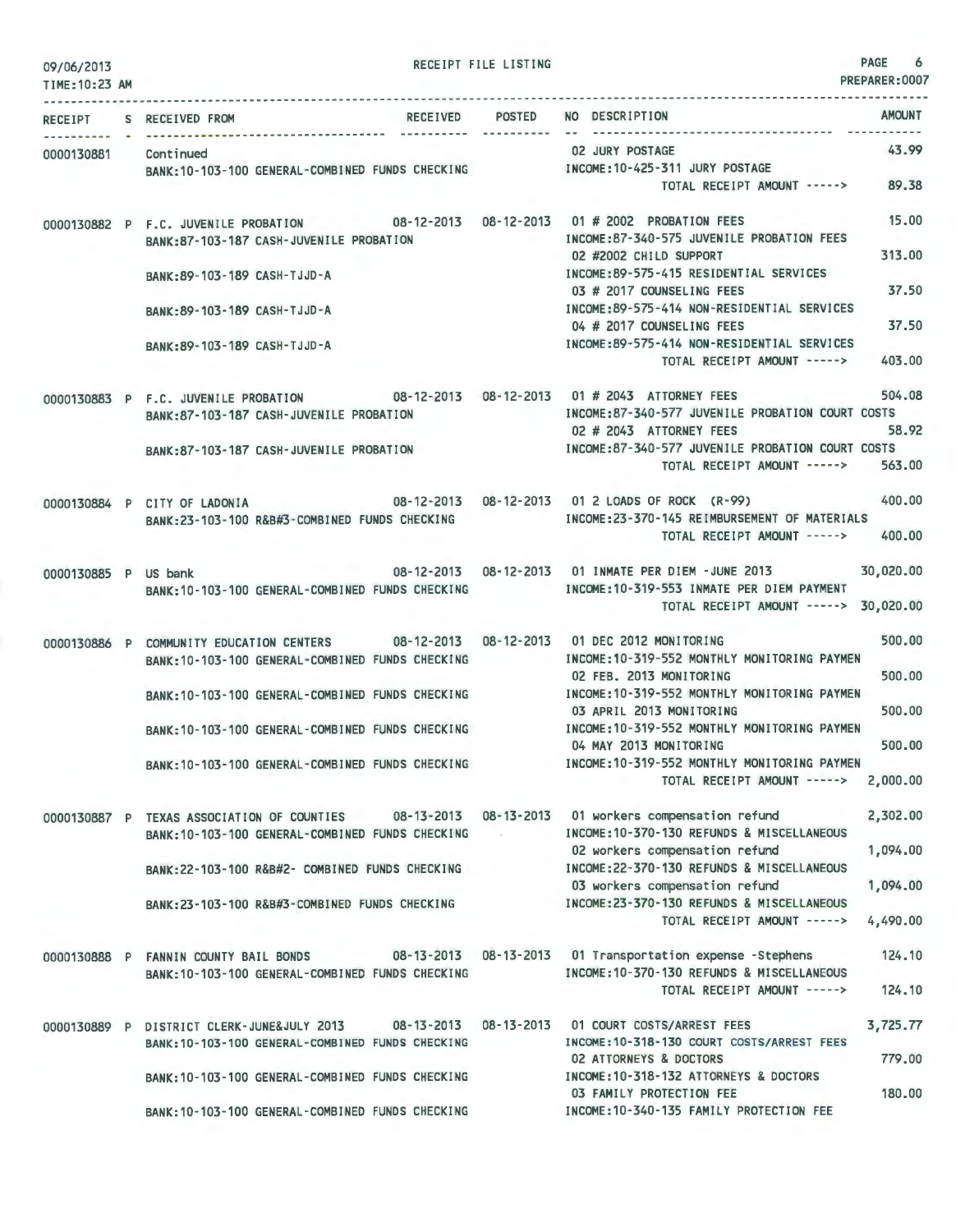| 09/06/2013<br>TIME: 10:23 AM |                                                                                                                                           | RECEIPT FILE LISTING |                                                                                                                                               | PAGE<br>6<br>PREPARER: 0007 |
|------------------------------|-------------------------------------------------------------------------------------------------------------------------------------------|----------------------|-----------------------------------------------------------------------------------------------------------------------------------------------|-----------------------------|
|                              | RECEIPT S RECEIVED FROM                                                                                                                   | ----------           | RECEIVED POSTED NO DESCRIPTION                                                                                                                | <b>AMOUNT</b>               |
| 0000130881 Continued         | BANK:10-103-100 GENERAL-COMBINED FUNDS CHECKING NORTHER INCOME:10-425-311 JURY POSTAGE                                                    |                      | 02 JURY POSTAGE<br>TOTAL RECEIPT AMOUNT -----> 89.38                                                                                          | 43.99                       |
|                              | 0000130882 P F.C. JUVENILE PROBATION 08-12-2013 08-12-2013 01 # 2002 PROBATION FEES<br>BANK:87-103-187 CASH-JUVENILE PROBATION            |                      | INCOME:87-340-575 JUVENILE PROBATION FEES<br>02 #2002 CHILD SUPPORT                                                                           | 15,00<br>313.00             |
|                              | BANK: 89-103-189 CASH-TJJD-A                                                                                                              |                      | INCOME: 89-575-415 RESIDENTIAL SERVICES<br>03 # 2017 COUNSELING FEES                                                                          | 37.50                       |
|                              | BANK: 89-103-189 CASH-TJJD-A                                                                                                              |                      | INCOME: 89-575-414 NON-RESIDENTIAL SERVICES<br>04 # 2017 COUNSELING FEES                                                                      | 37.50                       |
|                              | BANK:89-103-189 CASH-TJJD-A                                                                                                               |                      | INCOME:89-575-414 NON-RESIDENTIAL SERVICES<br>TOTAL RECEIPT AMOUNT ----->                                                                     | 403.00                      |
|                              | 0000130883 P F.C. JUVENILE PROBATION 08-12-2013 08-12-2013 01 # 2043 ATTORNEY FEES<br>BANK:87-103-187 CASH-JUVENILE PROBATION             |                      | INCOME:87-340-577 JUVENILE PROBATION COURT COSTS<br>02 # 2043 ATTORNEY FEES<br>and additional contracts to the con-                           | 504.08<br>58.92             |
|                              | BANK:87-103-187 CASH-JUVENILE PROBATION                                                                                                   |                      | INCOME:87-340-577 JUVENILE PROBATION COURT COSTS<br>TOTAL RECEIPT AMOUNT ----->                                                               | 563.00                      |
|                              | 0000130884 P CITY OF LADONIA<br>BANK:23-103-100 R&B#3-COMBINED FUNDS CHECKING                                                             |                      | 08-12-2013  08-12-2013  01 2 LOADS OF ROCK (R-99)<br>INCOME: 23-370-145 REIMBURSEMENT OF MATERIALS<br>TOTAL RECEIPT AMOUNT ----->             | 400,00<br>400,00            |
| 0000130885 P US bank         | BANK: 10-103-100 GENERAL-COMBINED FUNDS CHECKING                                                                                          |                      | 08-12-2013  08-12-2013  01 INMATE PER DIEM -JUNE  2013<br>INCOME: 10-319-553 INMATE PER DIEM PAYMENT<br>TOTAL RECEIPT AMOUNT -----> 30,020.00 | 30,020.00                   |
|                              | 0000130886 P COMMUNITY EDUCATION CENTERS 08-12-2013 08-12-2013 01 DEC 2012 MONITORING<br>BANK: 10-103-100 GENERAL-COMBINED FUNDS CHECKING |                      | INCOME:10-319-552 MONTHLY MONITORING PAYMEN<br>02 FEB. 2013 MONITORING                                                                        | 500,00<br>500,00            |
|                              | BANK: 10-103-100 GENERAL-COMBINED FUNDS CHECKING                                                                                          |                      | INCOME:10-319-552 MONTHLY MONITORING PAYMEN<br>03 APRIL 2013 MONITORING                                                                       | 500.00                      |
|                              | BANK: 10-103-100 GENERAL-COMBINED FUNDS CHECKING                                                                                          |                      | INCOME: 10-319-552 MONTHLY MONITORING PAYMEN<br>04 MAY 2013 MONITORING                                                                        | 500,00                      |
|                              | BANK: 10-103-100 GENERAL-COMBINED FUNDS CHECKING                                                                                          |                      | INCOME:10-319-552 MONTHLY MONITORING PAYMEN<br>TOTAL RECEIPT AMOUNT ----->                                                                    | 2,000.00                    |
|                              | 0000130887 P TEXAS ASSOCIATION OF COUNTIES<br>BANK:10-103-100 GENERAL-COMBINED FUNDS CHECKING                                             |                      | 08-13-2013  08-13-2013  01 workers compensation refund<br>INCOME: 10-370-130 REFUNDS & MISCELLANEOUS<br>02 workers compensation refund        | 2,302.00<br>1,094.00        |
|                              | BANK: 22-103-100 R&B#2- COMBINED FUNDS CHECKING                                                                                           |                      | INCOME:22-370-130 REFUNDS & MISCELLANEOUS<br>03 workers compensation refund                                                                   | 1,094.00                    |
|                              | BANK: 23-103-100 R&B#3-COMBINED FUNDS CHECKING                                                                                            |                      | INCOME: 23-370-130 REFUNDS & MISCELLANEOUS<br>TOTAL RECEIPT AMOUNT ----->                                                                     | 4,490.00                    |
|                              | 0000130888 P FANNIN COUNTY BAIL BONDS<br>BANK: 10-103-100 GENERAL-COMBINED FUNDS CHECKING                                                 |                      | 08-13-2013  08-13-2013  01 Transportation expense -Stephens<br>INCOME: 10-370-130 REFUNDS & MISCELLANEOUS<br>TOTAL RECEIPT AMOUNT ----->      | 124.10<br>124,10            |
|                              | $08 - 13 - 2013$<br>0000130889 P DISTRICT CLERK-JUNE&JULY 2013<br>BANK: 10-103-100 GENERAL-COMBINED FUNDS CHECKING                        | 08-13-2013           | 01 COURT COSTS/ARREST FEES<br>INCOME: 10-318-130 COURT COSTS/ARREST FEES                                                                      | 3,725.77                    |
|                              | BANK: 10-103-100 GENERAL-COMBINED FUNDS CHECKING                                                                                          |                      | <b>02 ATTORNEYS &amp; DOCTORS</b><br>INCOME: 10-318-132 ATTORNEYS & DOCTORS                                                                   | 779.00                      |
|                              | BANK: 10-103-100 GENERAL-COMBINED FUNDS CHECKING                                                                                          |                      | 03 FAMILY PROTECTION FEE<br>INCOME:10-340-135 FAMILY PROTECTION FEE                                                                           | 180.00                      |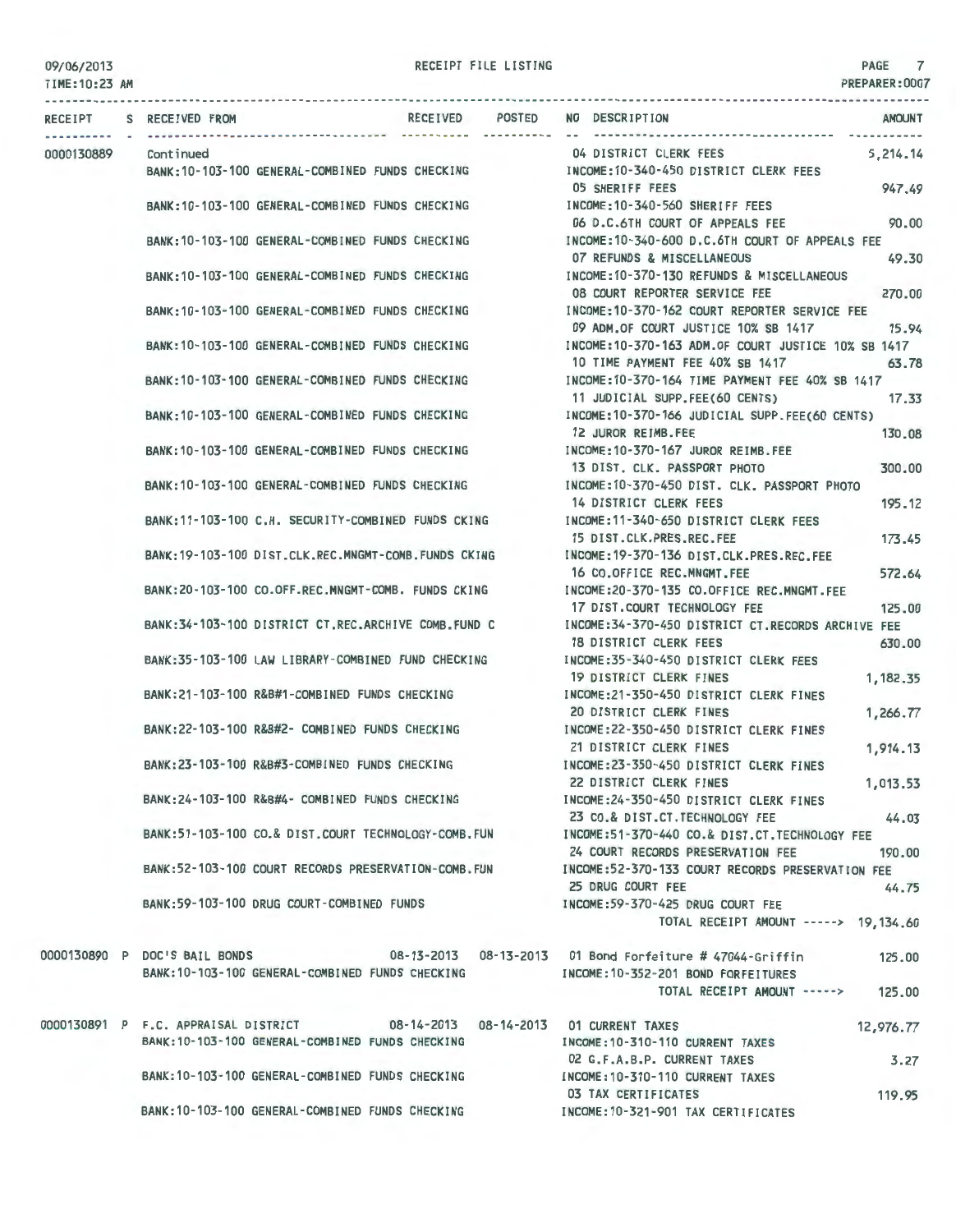#### TIME:10:23 AM

|            | RECEIPT S RECEIVED FROM                                                                | <b>RECEIVED</b><br>--- ----------- ---------- | POSTED NO DESCRIPTION                                                                                | <b>AMOUNT</b> |
|------------|----------------------------------------------------------------------------------------|-----------------------------------------------|------------------------------------------------------------------------------------------------------|---------------|
| 0000130889 | Continued                                                                              |                                               | 04 DISTRICT CLERK FEES                                                                               | 5,214.14      |
|            | BANK:10-103-100 GENERAL-COMBINED FUNDS CHECKING                                        |                                               | INCOME:10-340-450 DISTRICT CLERK FEES                                                                |               |
|            |                                                                                        |                                               | <b>05 SHERIFF FEES</b>                                                                               | 947.49        |
|            | BANK: 10-103-100 GENERAL-COMBINED FUNDS CHECKING                                       |                                               | INCOME: 10-340-560 SHERIFF FEES                                                                      |               |
|            |                                                                                        |                                               | 06 D.C.6TH COURT OF APPEALS FEE                                                                      | 90.00         |
|            | BANK: 10-103-100 GENERAL-COMBINED FUNDS CHECKING                                       |                                               | INCOME:10-340-600 D.C.6TH COURT OF APPEALS FEE                                                       |               |
|            |                                                                                        |                                               | 07 REFUNDS & MISCELLANEOUS                                                                           | 49.30         |
|            | BANK:10-103-100 GENERAL-COMBINED FUNDS CHECKING                                        |                                               | INCOME: 10-370-130 REFUNDS & MISCELLANEOUS                                                           |               |
|            |                                                                                        |                                               | 08 COURT REPORTER SERVICE FEE                                                                        | 270,00        |
|            | BANK: 10-103-100 GENERAL-COMBINED FUNDS CHECKING                                       |                                               | INCOME:10-370-162 COURT REPORTER SERVICE FEE                                                         |               |
|            |                                                                                        |                                               | 09 ADM.OF COURT JUSTICE 10% SB 1417<br>INCOME: 10-370-163 ADM. OF COURT JUSTICE 10% SB 1417          | 15.94         |
|            | BANK: 10-103-100 GENERAL-COMBINED FUNDS CHECKING                                       |                                               | 10 TIME PAYMENT FEE 40% SB 1417                                                                      |               |
|            | BANK: 10-103-100 GENERAL-COMBINED FUNDS CHECKING                                       |                                               | INCOME:10-370-164 TIME PAYMENT FEE 40% SB 1417                                                       | 63.78         |
|            |                                                                                        |                                               | 11 JUDICIAL SUPP.FEE(60 CENTS)                                                                       | 17.33         |
|            | BANK: 10-103-100 GENERAL-COMBINED FUNDS CHECKING                                       |                                               | INCOME:10-370-166 JUDICIAL SUPP.FEE(60 CENTS)                                                        |               |
|            |                                                                                        |                                               | 12 JUROR REIMB.FEE                                                                                   | 130.08        |
|            | BANK: 10-103-100 GENERAL-COMBINED FUNDS CHECKING                                       |                                               | INCOME:10-370-167 JUROR REIMB.FEE                                                                    |               |
|            |                                                                                        |                                               | 13 DIST. CLK. PASSPORT PHOTO                                                                         | 300,00        |
|            | BANK: 10-103-100 GENERAL-COMBINED FUNDS CHECKING                                       |                                               | INCOME: 10-370-450 DIST, CLK, PASSPORT PHOTO                                                         |               |
|            |                                                                                        |                                               | 14 DISTRICT CLERK FEES                                                                               | 195.12        |
|            | BANK: 11-103-100 C.H. SECURITY-COMBINED FUNDS CKING                                    |                                               | INCOME:11-340-650 DISTRICT CLERK FEES                                                                |               |
|            |                                                                                        |                                               | 15 DIST.CLK.PRES.REC.FEE                                                                             | 173.45        |
|            | BANK: 19-103-100 DIST.CLK.REC.MNGMT-COMB.FUNDS CKING                                   |                                               | INCOME: 19-370-136 DIST.CLK.PRES.REC.FEE                                                             |               |
|            |                                                                                        |                                               | 16 CO.OFFICE REC.MNGMT.FEE                                                                           | 572.64        |
|            | BANK:20-103-100 CO.OFF.REC.MNGMT-COMB. FUNDS CKING                                     |                                               | INCOME:20-370-135 CO.OFFICE REC.MNGMT.FEE                                                            |               |
|            |                                                                                        |                                               | 17 DIST.COURT TECHNOLOGY FEE                                                                         | 125,00        |
|            | BANK:34-103-100 DISTRICT CT.REC.ARCHIVE COMB.FUND C                                    |                                               | INCOME:34-370-450 DISTRICT CT.RECORDS ARCHIVE FEE                                                    |               |
|            |                                                                                        |                                               | 18 DISTRICT CLERK FEES                                                                               | 630.00        |
|            | BANK:35-103-100 LAW LIBRARY-COMBINED FUND CHECKING                                     |                                               | INCOME: 35-340-450 DISTRICT CLERK FEES                                                               |               |
|            |                                                                                        |                                               | 19 DISTRICT CLERK FINES                                                                              | 1,182.35      |
|            | BANK:21-103-100 R&B#1-COMBINED FUNDS CHECKING                                          |                                               | INCOME:21-350-450 DISTRICT CLERK FINES                                                               |               |
|            | BANK:22-103-100 R&B#2- COMBINED FUNDS CHECKING                                         |                                               | 20 DISTRICT CLERK FINES<br>INCOME: 22-350-450 DISTRICT CLERK FINES                                   | 1,266.77      |
|            |                                                                                        |                                               | 21 DISTRICT CLERK FINES                                                                              | 1,914.13      |
|            | BANK:23-103-100 R&B#3-COMBINED FUNDS CHECKING                                          |                                               | INCOME:23-350-450 DISTRICT CLERK FINES                                                               |               |
|            |                                                                                        |                                               | 22 DISTRICT CLERK FINES                                                                              | 1,013.53      |
|            | BANK:24-103-100 R&B#4- COMBINED FUNDS CHECKING                                         |                                               | INCOME: 24-350-450 DISTRICT CLERK FINES                                                              |               |
|            |                                                                                        |                                               | 23 CO.& DIST.CT.TECHNOLOGY FEE                                                                       | 44.03         |
|            |                                                                                        |                                               | BANK:51-103-100 CO.& DIST.COURT TECHNOLOGY-COMB.FUN INCOME:51-370-440 CO.& DIST.CT.TECHNOLOGY FEE    |               |
|            |                                                                                        |                                               | 24 COURT RECORDS PRESERVATION FEE                                                                    | 190.00        |
|            |                                                                                        |                                               | BANK:52-103-100 COURT RECORDS PRESERVATION-COMB.FUN INCOME:52-370-133 COURT RECORDS PRESERVATION FEE |               |
|            |                                                                                        |                                               | 25 DRUG COURT FEE                                                                                    | 44.75         |
|            | BANK:59-103-100 DRUG COURT-COMBINED FUNDS                                              |                                               | INCOME:59-370-425 DRUG COURT FEE                                                                     |               |
|            |                                                                                        |                                               | TOTAL RECEIPT AMOUNT -----> 19,134.60                                                                |               |
|            |                                                                                        |                                               |                                                                                                      |               |
|            | 0000130890 P DOC'S BAIL BONDS 08-13-2013 08-13-2013 01 Bond Forfeiture # 47044-Griffin |                                               |                                                                                                      | 125.00        |
|            | BANK: 10-103-100 GENERAL-COMBINED FUNDS CHECKING                                       |                                               | INCOME:10-352-201 BOND FORFEITURES                                                                   |               |
|            |                                                                                        |                                               | TOTAL RECEIPT AMOUNT ----->                                                                          | 125.00        |
|            | 0000130891 P F.C. APPRAISAL DISTRICT 08-14-2013 08-14-2013 01 CURRENT TAXES            |                                               |                                                                                                      | 12,976.77     |
|            | BANK: 10-103-100 GENERAL-COMBINED FUNDS CHECKING                                       |                                               | INCOME: 10-310-110 CURRENT TAXES                                                                     |               |
|            |                                                                                        |                                               | 02 G.F.A.B.P. CURRENT TAXES                                                                          | 3.27          |
|            | BANK: 10-103-100 GENERAL-COMBINED FUNDS CHECKING                                       |                                               | INCOME: 10-310-110 CURRENT TAXES                                                                     |               |
|            |                                                                                        |                                               | 03 TAX CERTIFICATES                                                                                  | 119.95        |
|            | BANK: 10-103-100 GENERAL-COMBINED FUNDS CHECKING                                       |                                               | INCOME:10-321-901 TAX CERTIFICATES                                                                   |               |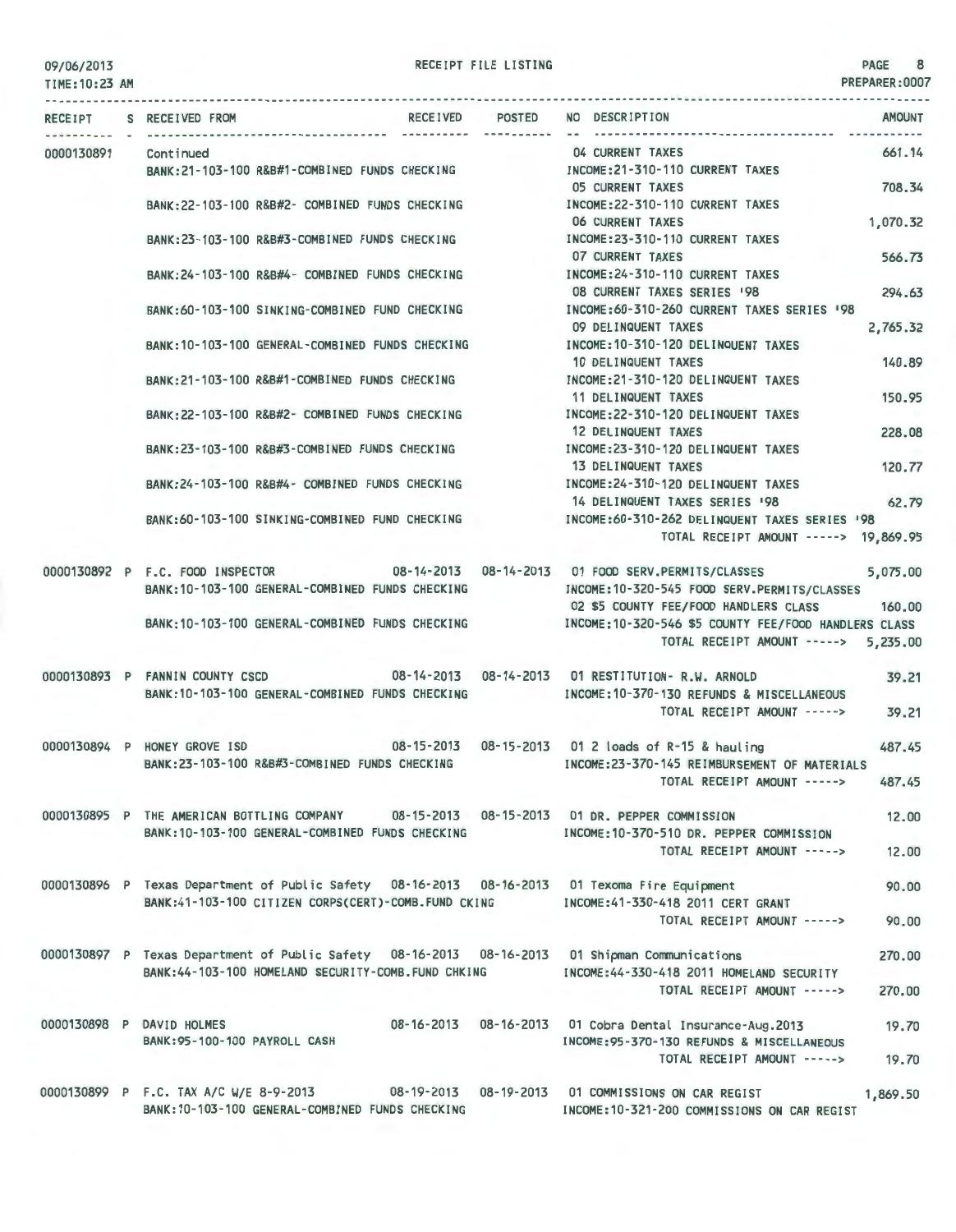TIME:10:23 AM

|  | RECEIPT S RECEIVED FROM                                                               |                  |                       | RECEIVED POSTED NO DESCRIPTION<br><b>AMOUNT</b>                                                    |
|--|---------------------------------------------------------------------------------------|------------------|-----------------------|----------------------------------------------------------------------------------------------------|
|  | 0000130891 Continued                                                                  |                  |                       | 04 CURRENT TAXES<br>661.14                                                                         |
|  | BANK:21-103-100 R&B#1-COMBINED FUNDS CHECKING MANUSIC RECOME:21-310-110 CURRENT TAXES |                  |                       |                                                                                                    |
|  |                                                                                       |                  |                       | 05 CURRENT TAXES<br>708.34                                                                         |
|  | BANK:22-103-100 R&B#2- COMBINED FUNDS CHECKING [INCOME:22-310-110 CURRENT TAXES       |                  |                       |                                                                                                    |
|  |                                                                                       |                  |                       | <b>06 CURRENT TAXES</b><br>1,070.32                                                                |
|  | BANK:23-103-100 R&B#3-COMBINED FUNDS CHECKING                                         |                  |                       | INCOME:23-310-110 CURRENT TAXES                                                                    |
|  |                                                                                       |                  |                       | 07 CURRENT TAXES<br>566.73                                                                         |
|  | BANK: 24-103-100 R&B#4- COMBINED FUNDS CHECKING                                       |                  |                       | INCOME: 24-310-110 CURRENT TAXES                                                                   |
|  |                                                                                       |                  |                       | 08 CURRENT TAXES SERIES '98<br>294.63                                                              |
|  | BANK:60-103-100 SINKING-COMBINED FUND CHECKING                                        |                  |                       | INCOME:60-310-260 CURRENT TAXES SERIES '98                                                         |
|  |                                                                                       |                  |                       | 09 DELINQUENT TAXES<br>2,765.32                                                                    |
|  | BANK: 10-103-100 GENERAL-COMBINED FUNDS CHECKING                                      |                  |                       | INCOME: 10-310-120 DELINQUENT TAXES<br>140.89                                                      |
|  | BANK:21-103-100 R&B#1-COMBINED FUNDS CHECKING                                         |                  |                       | 10 DELINQUENT TAXES<br>INCOME:21-310-120 DELINQUENT TAXES                                          |
|  |                                                                                       |                  |                       | <b>11 DELINQUENT TAXES</b><br>150.95                                                               |
|  | BANK:22-103-100 R&B#2- COMBINED FUNDS CHECKING NOTE:22-310-120 DELINQUENT TAXES       |                  |                       |                                                                                                    |
|  |                                                                                       |                  |                       | 12 DELINQUENT TAXES<br>228.08                                                                      |
|  | BANK:23-103-100 R&B#3-COMBINED FUNDS CHECKING                                         |                  |                       | INCOME: 23-310-120 DELINQUENT TAXES                                                                |
|  |                                                                                       |                  |                       | <b>13 DELINQUENT TAXES</b><br>120.77                                                               |
|  | BANK:24-103-100 R&B#4- COMBINED FUNDS CHECKING                                        |                  |                       | INCOME:24-310-120 DELINQUENT TAXES                                                                 |
|  |                                                                                       |                  |                       | 14 DELINQUENT TAXES SERIES '98<br>62.79                                                            |
|  |                                                                                       |                  |                       | BANK:60-103-100 SINKING-COMBINED FUND CHECKING [NCOME:60-310-262 DELINQUENT TAXES SERIES '98       |
|  |                                                                                       |                  |                       | TOTAL RECEIPT AMOUNT -----> 19.869.95                                                              |
|  |                                                                                       |                  |                       | 0000130892 P F.C. FOOD INSPECTOR 08-14-2013 08-14-2013 01 FOOD SERV.PERMITS/CLASSES<br>5,075.00    |
|  | BANK:10-103-100 GENERAL-COMBINED FUNDS CHECKING                                       |                  |                       | INCOME:10-320-545 FOOD SERV.PERMITS/CLASSES                                                        |
|  |                                                                                       |                  |                       | 02 \$5 COUNTY FEE/FOOD HANDLERS CLASS 160.00                                                       |
|  |                                                                                       |                  |                       | BANK:10-103-100 GENERAL-COMBINED FUNDS CHECKING MODE:10-320-546 \$5 COUNTY FEE/FOOD HANDLERS CLASS |
|  |                                                                                       |                  |                       | TOTAL RECEIPT AMOUNT -----> 5,235.00                                                               |
|  | 0000130893 P FANNIN COUNTY CSCD                                                       |                  |                       | 08-14-2013  08-14-2013  01 RESTITUTION- R.W. ARNOLD<br>39.21                                       |
|  | BANK: 10-103-100 GENERAL-COMBINED FUNDS CHECKING                                      |                  |                       | INCOME: 10-370-130 REFUNDS & MISCELLANEOUS                                                         |
|  |                                                                                       |                  |                       | TOTAL RECEIPT AMOUNT -----><br>39.21                                                               |
|  |                                                                                       |                  |                       |                                                                                                    |
|  |                                                                                       |                  |                       | 0000130894 P HONEY GROVE ISD 08-15-2013 08-15-2013 01 2 loads of R-15 & hauling<br>487.45          |
|  | BANK:23-103-100 R&B#3-COMBINED FUNDS CHECKING                                         |                  |                       | INCOME:23-370-145 REIMBURSEMENT OF MATERIALS                                                       |
|  |                                                                                       |                  |                       | TOTAL RECEIPT AMOUNT -----><br>487.45                                                              |
|  | 0000130895 P THE AMERICAN BOTTLING COMPANY                                            |                  |                       |                                                                                                    |
|  | BANK: 10-103-100 GENERAL-COMBINED FUNDS CHECKING                                      | $08 - 15 - 2013$ | 08-15-2013            | 01 DR. PEPPER COMMISSION<br>12.00<br>INCOME: 10-370-510 DR. PEPPER COMMISSION                      |
|  |                                                                                       |                  |                       | TOTAL RECEIPT AMOUNT -----><br>12.00                                                               |
|  |                                                                                       |                  |                       |                                                                                                    |
|  | 0000130896 P Texas Department of Public Safety 08-16-2013 08-16-2013                  |                  |                       | 01 Texoma Fire Equipment<br>90.00                                                                  |
|  | BANK:41-103-100 CITIZEN CORPS(CERT)-COMB.FUND CKING                                   |                  |                       | INCOME: 41-330-418 2011 CERT GRANT                                                                 |
|  |                                                                                       |                  |                       | TOTAL RECEIPT AMOUNT -----><br>90.00                                                               |
|  |                                                                                       |                  |                       |                                                                                                    |
|  | 0000130897 P Texas Department of Public Safety 08-16-2013 08-16-2013                  |                  |                       | 01 Shipman Communications<br>270.00                                                                |
|  | BANK: 44-103-100 HOMELAND SECURITY-COMB. FUND CHKING                                  |                  |                       | INCOME: 44-330-418 2011 HOMELAND SECURITY                                                          |
|  |                                                                                       |                  |                       | TOTAL RECEIPT AMOUNT -----><br>270.00                                                              |
|  | 0000130898 P DAVID HOLMES                                                             |                  | 08-16-2013 08-16-2013 | 01 Cobra Dental Insurance-Aug.2013                                                                 |
|  | BANK: 95-100-100 PAYROLL CASH                                                         |                  |                       | 19.70<br>INCOME: 95-370-130 REFUNDS & MISCELLANEOUS                                                |
|  |                                                                                       |                  |                       | TOTAL RECEIPT AMOUNT -----><br>19.70                                                               |
|  |                                                                                       |                  |                       |                                                                                                    |
|  | 0000130899 P F.C. TAX A/C W/E 8-9-2013                                                |                  | 08-19-2013 08-19-2013 | 01 COMMISSIONS ON CAR REGIST<br>1,869.50                                                           |
|  | BANK: 10-103-100 GENERAL-COMBINED FUNDS CHECKING                                      |                  |                       | INCOME:10-321-200 COMMISSIONS ON CAR REGIST                                                        |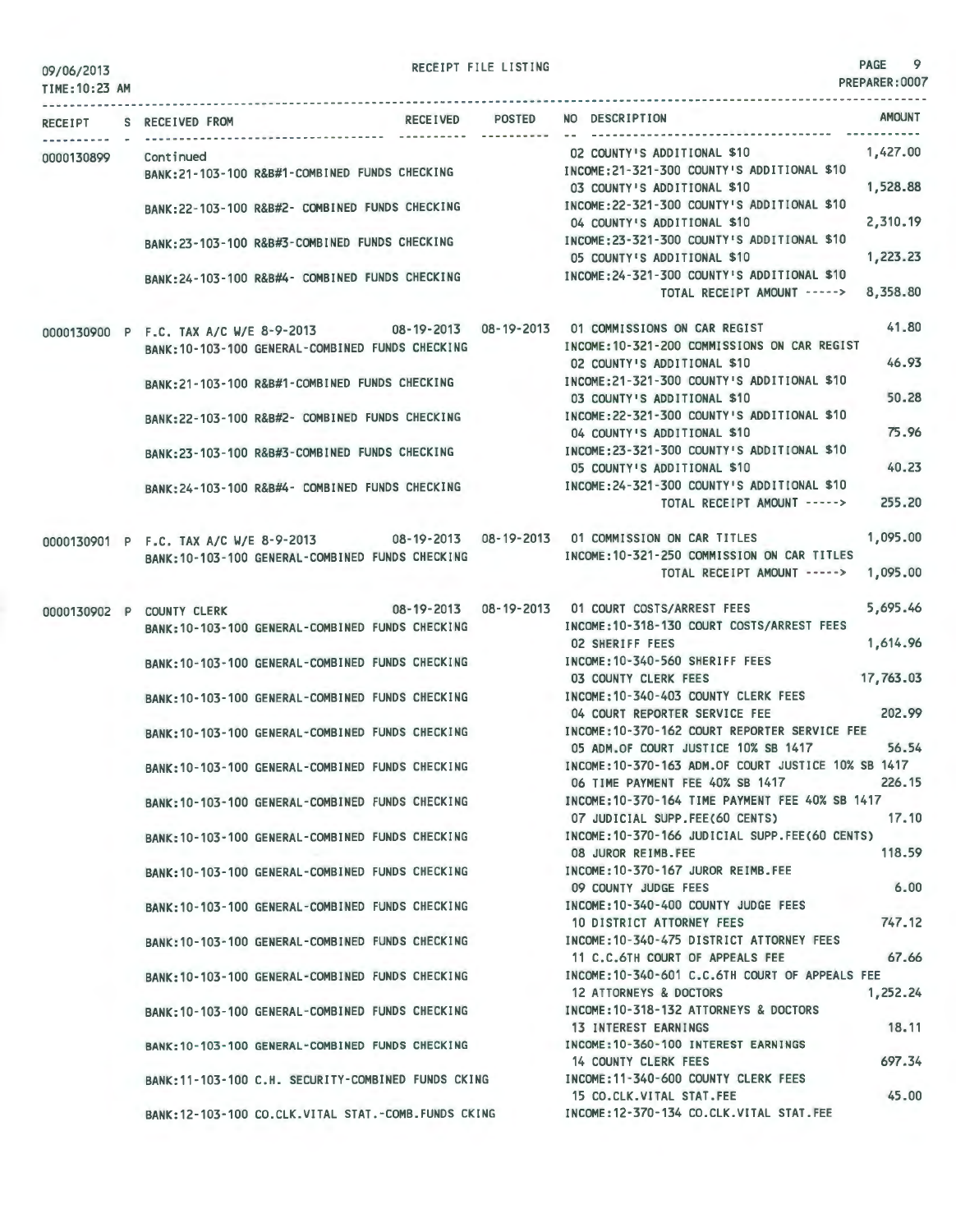| 09/06/2013 |  |
|------------|--|
|            |  |

RECEIPT FILE LISTING 9

| TIME: 10:23 AM |                           |                                                      |                 |                                                                                                                    |           |
|----------------|---------------------------|------------------------------------------------------|-----------------|--------------------------------------------------------------------------------------------------------------------|-----------|
|                | RECEIPT S RECEIVED FROM   |                                                      | RECEIVED POSTED | NO DESCRIPTION                                                                                                     | AMOUNT    |
| 0000130899     | Continued                 | BANK:21-103-100 R&B#1-COMBINED FUNDS CHECKING        |                 | 02 COUNTY'S ADDITIONAL \$10<br>INCOME:21-321-300 COUNTY'S ADDITIONAL \$10                                          | 1,427.00  |
|                |                           | BANK:22-103-100 R&B#2- COMBINED FUNDS CHECKING       |                 | 03 COUNTY'S ADDITIONAL \$10<br>INCOME: 22-321-300 COUNTY'S ADDITIONAL \$10                                         | 1,528.88  |
|                |                           | BANK:23-103-100 R&B#3-COMBINED FUNDS CHECKING        |                 | 04 COUNTY'S ADDITIONAL \$10<br>INCOME:23-321-300 COUNTY'S ADDITIONAL \$10                                          | 2,310.19  |
|                |                           | BANK:24-103-100 R&B#4- COMBINED FUNDS CHECKING       |                 | 05 COUNTY'S ADDITIONAL \$10<br>INCOME: 24-321-300 COUNTY'S ADDITIONAL \$10<br>TOTAL RECEIPT AMOUNT -----> 8,358.80 | 1,223.23  |
|                |                           |                                                      |                 | 0000130900 P F.C. TAX A/C W/E 8-9-2013 08-19-2013 08-19-2013 01 COMMISSIONS ON CAR REGIST                          | 41,80     |
|                |                           | BANK: 10-103-100 GENERAL-COMBINED FUNDS CHECKING     |                 | INCOME: 10-321-200 COMMISSIONS ON CAR REGIST<br>02 COUNTY'S ADDITIONAL \$10                                        | 46.93     |
|                |                           | BANK:21-103-100 R&B#1-COMBINED FUNDS CHECKING        |                 | INCOME: 21-321-300 COUNTY'S ADDITIONAL \$10<br>03 COUNTY'S ADDITIONAL \$10                                         | 50.28     |
|                |                           | BANK:22-103-100 R&B#2- COMBINED FUNDS CHECKING       |                 | INCOME: 22-321-300 COUNTY'S ADDITIONAL \$10<br>04 COUNTY'S ADDITIONAL \$10                                         | 75.96     |
|                |                           | BANK:23-103-100 R&B#3-COMBINED FUNDS CHECKING        |                 | INCOME: 23-321-300 COUNTY'S ADDITIONAL \$10<br>05 COUNTY'S ADDITIONAL \$10                                         | 40.23     |
|                |                           | BANK: 24-103-100 R&B#4- COMBINED FUNDS CHECKING      |                 | INCOME: 24-321-300 COUNTY'S ADDITIONAL \$10<br>TOTAL RECEIPT AMOUNT ----->                                         | 255.20    |
|                |                           |                                                      |                 | 0000130901 P F.C. TAX A/C W/E 8-9-2013 08-19-2013 08-19-2013 01 COMMISSION ON CAR TITLES                           | 1.095.00  |
|                |                           | BANK: 10-103-100 GENERAL-COMBINED FUNDS CHECKING     |                 | INCOME: 10-321-250 COMMISSION ON CAR TITLES<br>TOTAL RECEIPT AMOUNT ----->                                         | 1,095.00  |
|                | 0000130902 P COUNTY CLERK |                                                      |                 |                                                                                                                    | 5,695.46  |
|                |                           | BANK: 10-103-100 GENERAL-COMBINED FUNDS CHECKING     |                 | INCOME: 10-318-130 COURT COSTS/ARREST FEES<br><b>02 SHERIFF FEES</b>                                               | 1,614.96  |
|                |                           | BANK: 10-103-100 GENERAL-COMBINED FUNDS CHECKING     |                 | INCOME: 10-340-560 SHERIFF FEES<br>03 COUNTY CLERK FEES                                                            | 17,763.03 |
|                |                           | BANK: 10-103-100 GENERAL-COMBINED FUNDS CHECKING     |                 | INCOME:10-340-403 COUNTY CLERK FEES<br>04 COURT REPORTER SERVICE FEE                                               | 202.99    |
|                |                           | BANK:10-103-100 GENERAL-COMBINED FUNDS CHECKING      |                 | INCOME: 10-370-162 COURT REPORTER SERVICE FEE<br>05 ADM.OF COURT JUSTICE 10% SB 1417                               | 56.54     |
|                |                           | BANK: 10-103-100 GENERAL-COMBINED FUNDS CHECKING     |                 | INCOME: 10-370-163 ADM.OF COURT JUSTICE 10% SB 1417<br>06 TIME PAYMENT FEE 40% SB 1417                             | 226.15    |
|                |                           | BANK: 10-103-100 GENERAL-COMBINED FUNDS CHECKING     |                 | INCOME:10-370-164 TIME PAYMENT FEE 40% SB 1417<br>07 JUDICIAL SUPP.FEE(60 CENTS)                                   | 17.10     |
|                |                           | BANK: 10-103-100 GENERAL-COMBINED FUNDS CHECKING     |                 | INCOME: 10-370-166 JUDICIAL SUPP.FEE(60 CENTS)<br>08 JUROR REIMB.FEE                                               | 118.59    |
|                |                           | BANK: 10-103-100 GENERAL-COMBINED FUNDS CHECKING     |                 | INCOME: 10-370-167 JUROR REIMB.FEE<br>09 COUNTY JUDGE FEES                                                         | 6.00      |
|                |                           | BANK: 10-103-100 GENERAL-COMBINED FUNDS CHECKING     |                 | INCOME: 10-340-400 COUNTY JUDGE FEES<br>10 DISTRICT ATTORNEY FEES                                                  | 747.12    |
|                |                           | BANK: 10-103-100 GENERAL-COMBINED FUNDS CHECKING     |                 | INCOME: 10-340-475 DISTRICT ATTORNEY FEES<br>11 C.C.6TH COURT OF APPEALS FEE                                       | 67.66     |
|                |                           | BANK: 10-103-100 GENERAL-COMBINED FUNDS CHECKING     |                 | INCOME: 10-340-601 C.C.6TH COURT OF APPEALS FEE<br>12 ATTORNEYS & DOCTORS                                          | 1,252.24  |
|                |                           | BANK: 10-103-100 GENERAL-COMBINED FUNDS CHECKING     |                 | INCOME: 10-318-132 ATTORNEYS & DOCTORS<br>13 INTEREST EARNINGS                                                     | 18.11     |
|                |                           | BANK: 10-103-100 GENERAL-COMBINED FUNDS CHECKING     |                 | INCOME: 10-360-100 INTEREST EARNINGS<br>14 COUNTY CLERK FEES                                                       | 697.34    |
|                |                           | BANK: 11-103-100 C.H. SECURITY-COMBINED FUNDS CKING  |                 | INCOME: 11-340-600 COUNTY CLERK FEES<br>15 CO.CLK.VITAL STAT.FEE                                                   | 45.00     |
|                |                           | BANK: 12-103-100 CO.CLK.VITAL STAT.-COMB.FUNDS CKING |                 | INCOME:12-370-134 CO.CLK.VITAL STAT.FEE                                                                            |           |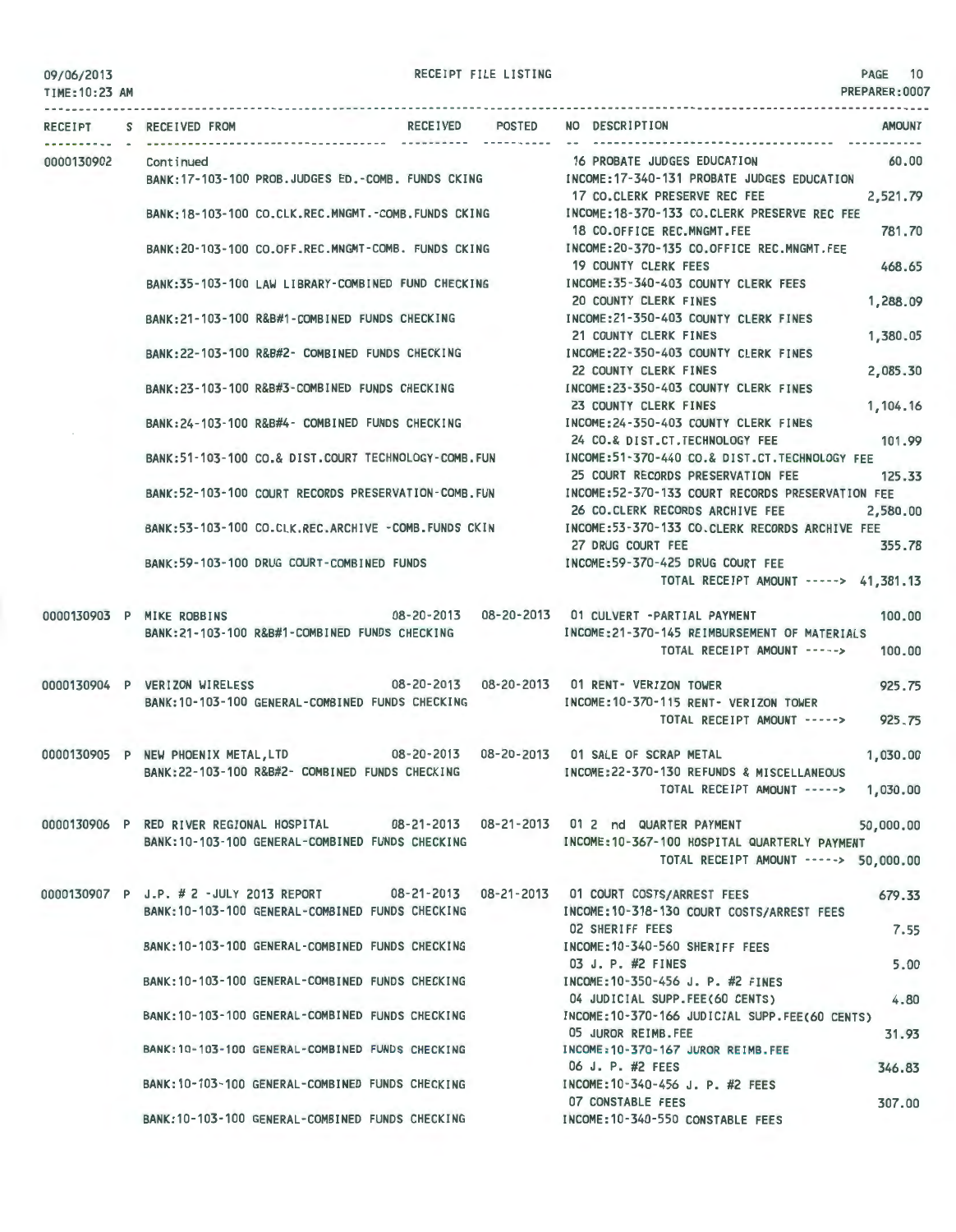| 09/06/2013 |  |
|------------|--|
|------------|--|

TIME: 10:23 AM

PAGE 10 PREPARER:0007

|            | RECEIPT S RECEIVED FROM                                                                                                            | RECEIVED POSTED | NO DESCRIPTION<br><b>AMOUNT</b>                                                                                                          |
|------------|------------------------------------------------------------------------------------------------------------------------------------|-----------------|------------------------------------------------------------------------------------------------------------------------------------------|
| 0000130902 | Continued<br>BANK:17-103-100 PROB.JUDGES ED.-COMB. FUNDS CKING MODE:17-340-131 PROBATE JUDGES EDUCATION                            |                 | 16 PROBATE JUDGES EDUCATION<br>60,00                                                                                                     |
|            |                                                                                                                                    |                 | 17 CO.CLERK PRESERVE REC FEE<br>2,521.79<br>BANK:18-103-100 CO.CLK.REC.MNGMT.-COMB.FUNDS CKING MODE:18-370-133 CO.CLERK PRESERVE REC FEE |
|            |                                                                                                                                    |                 | 781.70<br>18 CO.OFFICE REC.MNGMT.FEE                                                                                                     |
|            | BANK: 20-103-100 CO.OFF.REC.MNGMT-COMB. FUNDS CKING                                                                                |                 | INCOME:20-370-135 CO.OFFICE REC.MNGMT.FEE<br><b>19 COUNTY CLERK FEES</b><br>468.65                                                       |
|            | BANK:35-103-100 LAW LIBRARY-COMBINED FUND CHECKING                                                                                 |                 | INCOME: 35-340-403 COUNTY CLERK FEES<br>20 COUNTY CLERK FINES<br>1,288.09                                                                |
|            | BANK: 21-103-100 R&B#1-COMBINED FUNDS CHECKING                                                                                     |                 | INCOME:21-350-403 COUNTY CLERK FINES<br>21 COUNTY CLERK FINES<br>1,380.05                                                                |
|            | BANK:22-103-100 R&B#2- COMBINED FUNDS CHECKING                                                                                     |                 | INCOME: 22-350-403 COUNTY CLERK FINES<br>22 COUNTY CLERK FINES<br>2,085.30                                                               |
|            | BANK:23-103-100 R&B#3-COMBINED FUNDS CHECKING                                                                                      |                 | INCOME:23-350-403 COUNTY CLERK FINES<br>23 COUNTY CLERK FINES<br>1,104.16                                                                |
|            | BANK:24-103-100 R&B#4- COMBINED FUNDS CHECKING                                                                                     |                 | INCOME: 24-350-403 COUNTY CLERK FINES<br>101.99<br>24 CO.& DIST.CT. TECHNOLOGY FEE                                                       |
|            | BANK:51-103-100 CO.& DIST.COURT TECHNOLOGY-COMB.FUN                                                                                |                 | INCOME:51-370-440 CO.& DIST.CT.TECHNOLOGY FEE<br>125.33<br>25 COURT RECORDS PRESERVATION FEE                                             |
|            | BANK:52-103-100 COURT RECORDS PRESERVATION-COMB.FUN                                                                                |                 | INCOME:52-370-133 COURT RECORDS PRESERVATION FEE<br>26 CO.CLERK RECORDS ARCHIVE FEE<br>2,580.00                                          |
|            |                                                                                                                                    |                 | BANK:53-103-100 CO.CLK.REC.ARCHIVE -COMB.FUNDS CKIN MOOME:53-370-133 CO.CLERK RECORDS ARCHIVE FEE<br>27 DRUG COURT FEE<br>355.78         |
|            | BANK:59-103-100 DRUG COURT-COMBINED FUNDS                                                                                          |                 | INCOME:59-370-425 DRUG COURT FEE<br>TOTAL RECEIPT AMOUNT -----> 41,381.13                                                                |
|            | 0000130903 P MIKE ROBBINS 08-20-2013 08-20-2013 01 CULVERT -PARTIAL PAYMENT                                                        |                 | 100,00                                                                                                                                   |
|            | BANK: 21-103-100 R&B#1-COMBINED FUNDS CHECKING                                                                                     |                 | INCOME: 21-370-145 REIMBURSEMENT OF MATERIALS<br>TOTAL RECEIPT AMOUNT -----><br>100,00                                                   |
|            | 0000130904 P VERIZON WIRELESS                                                                                                      |                 | 08-20-2013  08-20-2013  01 RENT- VERIZON TOWER<br>925.75                                                                                 |
|            | BANK: 10-103-100 GENERAL-COMBINED FUNDS CHECKING                                                                                   |                 | INCOME:10-370-115 RENT- VERIZON TOWER<br>925.75<br>TOTAL RECEIPT AMOUNT ----->                                                           |
|            | 0000130905 P NEW PHOENIX METAL, LTD 08-20-2013 08-20-2013 01 SALE OF SCRAP METAL<br>BANK:22-103-100 R&B#2- COMBINED FUNDS CHECKING |                 | 1,030.00<br>INCOME:22-370-130 REFUNDS & MISCELLANEOUS                                                                                    |
|            |                                                                                                                                    |                 | TOTAL RECEIPT AMOUNT -----><br>1,030.00                                                                                                  |
|            | 0000130906 P RED RIVER REGIONAL HOSPITAL                                                                                           |                 | 08-21-2013  08-21-2013  01 2  nd    QUARTER PAYMENT<br>50,000,00                                                                         |
|            | BANK:10-103-100 GENERAL-COMBINED FUNDS CHECKING                                                                                    |                 | INCOME:10-367-100 HOSPITAL QUARTERLY PAYMENT<br>TOTAL RECEIPT AMOUNT -----> 50,000.00                                                    |
|            | 0000130907 P J.P. # 2 -JULY 2013 REPORT                                                                                            |                 | 08-21-2013  08-21-2013  01  COURT COSTS/ARREST FEES<br>679.33                                                                            |
|            | BANK: 10-103-100 GENERAL-COMBINED FUNDS CHECKING                                                                                   |                 | INCOME:10-318-130 COURT COSTS/ARREST FEES<br><b>02 SHERIFF FEES</b><br>7.55                                                              |
|            | BANK:10-103-100 GENERAL-COMBINED FUNDS CHECKING                                                                                    |                 | INCOME:10-340-560 SHERIFF FEES<br>03 J. P. #2 FINES<br>5.00                                                                              |
|            | BANK:10-103-100 GENERAL-COMBINED FUNDS CHECKING                                                                                    |                 | INCOME: 10-350-456 J. P. #2 FINES<br>04 JUDICIAL SUPP.FEE(60 CENTS)<br>4.80                                                              |
|            | BANK:10-103-100 GENERAL-COMBINED FUNDS CHECKING                                                                                    |                 | INCOME:10-370-166 JUDICIAL SUPP.FEE(60 CENTS)                                                                                            |
|            | BANK: 10-103-100 GENERAL-COMBINED FUNDS CHECKING                                                                                   |                 | 05 JUROR REIMB.FEE<br>31.93<br>INCOME: 10-370-167 JUROR REIMB. FEE                                                                       |
|            | BANK:10-103-100 GENERAL-COMBINED FUNDS CHECKING                                                                                    |                 | 06 J. P. #2 FEES<br>346.83<br>INCOME: 10-340-456 J. P. #2 FEES                                                                           |
|            | BANK: 10-103-100 GENERAL-COMBINED FUNDS CHECKING                                                                                   |                 | 07 CONSTABLE FEES<br>307.00<br>INCOME: 10-340-550 CONSTABLE FEES                                                                         |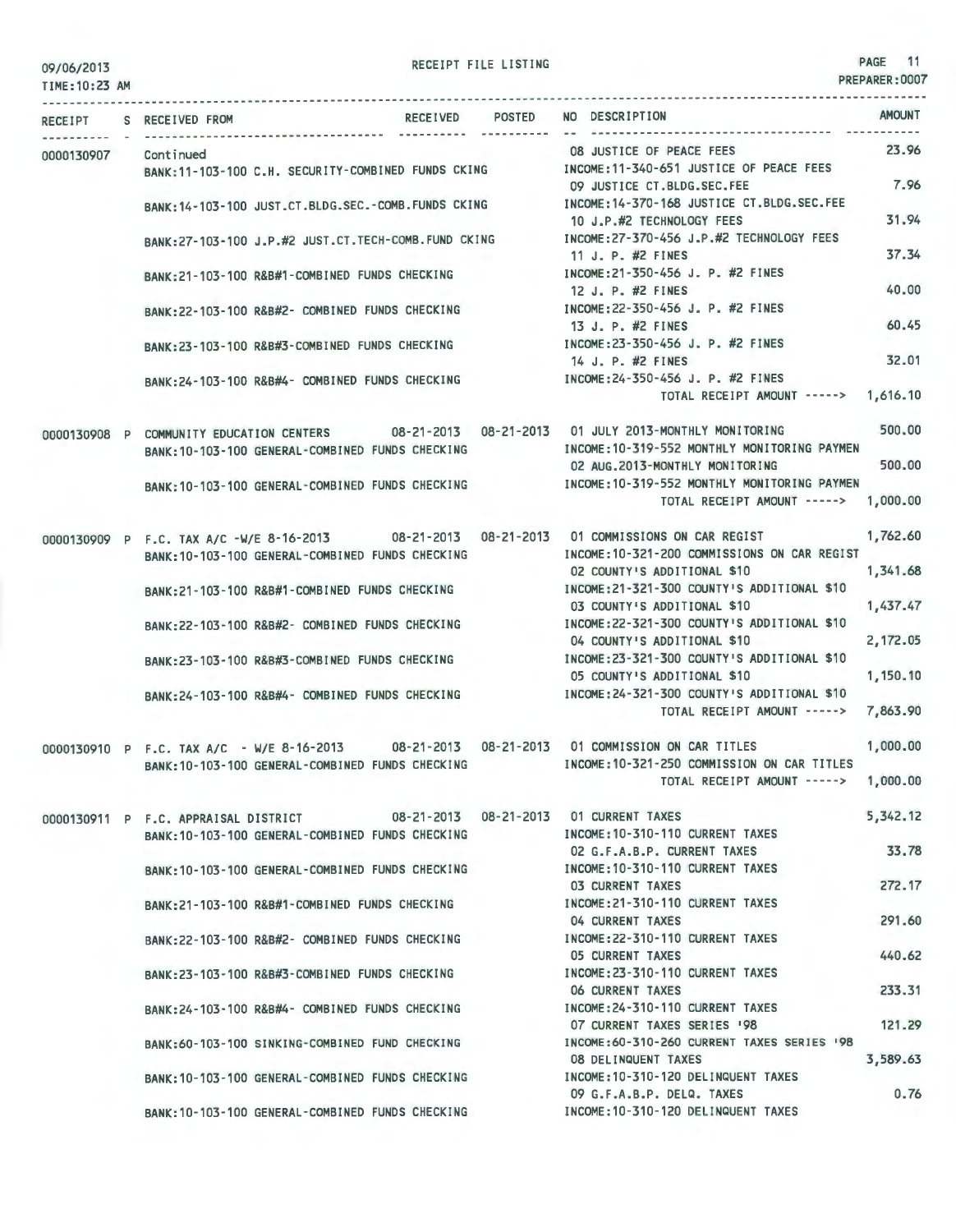TIME:10:23 AM

|            |  | RECEIPT S RECEIVED FROM                                                                                                                         | RECEIVED POSTED                                                            | NO DESCRIPTION                                                                                                                                 | <b>AMOUNT</b>               |       |
|------------|--|-------------------------------------------------------------------------------------------------------------------------------------------------|----------------------------------------------------------------------------|------------------------------------------------------------------------------------------------------------------------------------------------|-----------------------------|-------|
| 0000130907 |  | Continued<br>BANK: 11-103-100 C.H. SECURITY-COMBINED FUNDS CKING                                                                                |                                                                            | 08 JUSTICE OF PEACE FEES<br>INCOME:11-340-651 JUSTICE OF PEACE FEES                                                                            | 23.96                       |       |
|            |  | BANK: 14-103-100 JUST.CT.BLDG.SEC.-COMB.FUNDS CKING                                                                                             |                                                                            | 09 JUSTICE CT.BLDG.SEC.FEE<br>INCOME: 14-370-168 JUSTICE CT.BLDG.SEC.FEE                                                                       | 7.96                        |       |
|            |  |                                                                                                                                                 |                                                                            | 10 J.P.#2 TECHNOLOGY FEES<br>INCOME:27-370-456 J.P.#2 TECHNOLOGY FEES                                                                          | 31.94                       |       |
|            |  | BANK:27-103-100 J.P.#2 JUST.CT.TECH-COMB.FUND CKING                                                                                             |                                                                            | 11 J. P. #2 FINES                                                                                                                              | 37.34                       |       |
|            |  | BANK:21-103-100 R&B#1-COMBINED FUNDS CHECKING                                                                                                   |                                                                            | INCOME:21-350-456 J. P. #2 FINES<br>12 J. P. #2 FINES                                                                                          | 40,00                       |       |
|            |  | BANK:22-103-100 R&B#2- COMBINED FUNDS CHECKING                                                                                                  |                                                                            | INCOME: 22-350-456 J. P. #2 FINES<br>13 J. P. #2 FINES                                                                                         | 60.45                       |       |
|            |  | BANK:23-103-100 R&B#3-COMBINED FUNDS CHECKING                                                                                                   |                                                                            | INCOME: 23-350-456 J. P. #2 FINES<br>14 J. P. #2 FINES                                                                                         | 32.01                       |       |
|            |  | BANK:24-103-100 R&B#4- COMBINED FUNDS CHECKING                                                                                                  |                                                                            | INCOME: 24-350-456 J. P. #2 FINES                                                                                                              |                             |       |
|            |  |                                                                                                                                                 |                                                                            | TOTAL RECEIPT AMOUNT -----> 1,616.10                                                                                                           |                             |       |
|            |  | BANK: 10-103-100 GENERAL-COMBINED FUNDS CHECKING                                                                                                |                                                                            | 0000130908 P COMMUNITY EDUCATION CENTERS 08-21-2013 08-21-2013 01 JULY 2013-MONTHLY MONITORING<br>INCOME: 10-319-552 MONTHLY MONITORING PAYMEN | 500,00                      |       |
|            |  |                                                                                                                                                 |                                                                            | 02 AUG.2013-MONTHLY MONITORING<br>BANK:10-103-100 GENERAL-COMBINED FUNDS CHECKING INCOME:10-319-552 MONTHLY MONITORING PAYMEN                  | 500,00                      |       |
|            |  |                                                                                                                                                 |                                                                            | TOTAL RECEIPT AMOUNT -----> 1,000.00                                                                                                           |                             |       |
|            |  | 0000130909 P F.C. TAX A/C -W/E 8-16-2013 08-21-2013 08-21-2013 01 COMMISSIONS ON CAR REGIST                                                     |                                                                            |                                                                                                                                                | 1,762.60                    |       |
|            |  | BANK: 10-103-100 GENERAL-COMBINED FUNDS CHECKING<br>BANK:21-103-100 R&B#1-COMBINED FUNDS CHECKING                                               | INCOME:10-321-200 COMMISSIONS ON CAR REGIST<br>02 COUNTY'S ADDITIONAL \$10 | 1,341.68                                                                                                                                       |                             |       |
|            |  |                                                                                                                                                 | INCOME: 21-321-300 COUNTY'S ADDITIONAL \$10<br>03 COUNTY'S ADDITIONAL \$10 | 1,437.47                                                                                                                                       |                             |       |
|            |  | BANK: 22-103-100 R&B#2- COMBINED FUNDS CHECKING                                                                                                 |                                                                            | INCOME:22-321-300 COUNTY'S ADDITIONAL \$10<br>04 COUNTY'S ADDITIONAL \$10                                                                      | 2,172.05                    |       |
|            |  | BANK:23-103-100 R&B#3-COMBINED FUNDS CHECKING                                                                                                   |                                                                            | INCOME:23-321-300 COUNTY'S ADDITIONAL \$10<br>05 COUNTY'S ADDITIONAL \$10                                                                      | 1,150.10                    |       |
|            |  | BANK:24-103-100 R&B#4- COMBINED FUNDS CHECKING                                                                                                  |                                                                            | INCOME: 24-321-300 COUNTY'S ADDITIONAL \$10<br>TOTAL RECEIPT AMOUNT ----->                                                                     | 7,863.90                    |       |
|            |  |                                                                                                                                                 |                                                                            |                                                                                                                                                |                             |       |
|            |  | 0000130910 P F.C. TAX A/C - W/E 8-16-2013 08-21-2013 08-21-2013 01 COMMISSION ON CAR TITLES<br>BANK: 10-103-100 GENERAL-COMBINED FUNDS CHECKING |                                                                            | INCOME: 10-321-250 COMMISSION ON CAR TITLES                                                                                                    | 1,000.00                    |       |
|            |  |                                                                                                                                                 |                                                                            | TOTAL RECEIPT AMOUNT ----->                                                                                                                    | 1,000.00                    |       |
|            |  | 0000130911 P F.C. APPRAISAL DISTRICT                                                                                                            |                                                                            | 08-21-2013  08-21-2013  01 CURRENT TAXES<br>INCOME: 10-310-110 CURRENT TAXES                                                                   | 5,342.12                    |       |
|            |  |                                                                                                                                                 | BANK: 10-103-100 GENERAL-COMBINED FUNDS CHECKING                           |                                                                                                                                                | 02 G.F.A.B.P. CURRENT TAXES | 33.78 |
|            |  | BANK: 10-103-100 GENERAL-COMBINED FUNDS CHECKING                                                                                                |                                                                            | INCOME: 10-310-110 CURRENT TAXES<br>03 CURRENT TAXES                                                                                           | 272.17                      |       |
|            |  | BANK:21-103-100 R&B#1-COMBINED FUNDS CHECKING                                                                                                   |                                                                            | INCOME: 21-310-110 CURRENT TAXES<br>04 CURRENT TAXES                                                                                           | 291.60                      |       |
|            |  | BANK:22-103-100 R&B#2- COMBINED FUNDS CHECKING                                                                                                  |                                                                            | INCOME: 22-310-110 CURRENT TAXES<br>05 CURRENT TAXES                                                                                           | 440.62                      |       |
|            |  | BANK:23-103-100 R&B#3-COMBINED FUNDS CHECKING                                                                                                   |                                                                            | INCOME: 23-310-110 CURRENT TAXES                                                                                                               |                             |       |
|            |  | BANK:24-103-100 R&B#4- COMBINED FUNDS CHECKING                                                                                                  |                                                                            | <b>06 CURRENT TAXES</b><br>INCOME: 24-310-110 CURRENT TAXES                                                                                    | 233.31                      |       |
|            |  | BANK:60-103-100 SINKING-COMBINED FUND CHECKING                                                                                                  |                                                                            | 07 CURRENT TAXES SERIES '98<br>INCOME: 60-310-260 CURRENT TAXES SERIES '98                                                                     | 121.29                      |       |
|            |  | BANK: 10-103-100 GENERAL-COMBINED FUNDS CHECKING                                                                                                |                                                                            | 08 DELINQUENT TAXES<br>INCOME: 10-310-120 DELINQUENT TAXES                                                                                     | 3,589.63                    |       |
|            |  |                                                                                                                                                 |                                                                            | 09 G.F.A.B.P. DELQ. TAXES<br>INCOME: 10-310-120 DELINQUENT TAXES                                                                               | 0.76                        |       |
|            |  | BANK: 10-103-100 GENERAL-COMBINED FUNDS CHECKING                                                                                                |                                                                            |                                                                                                                                                |                             |       |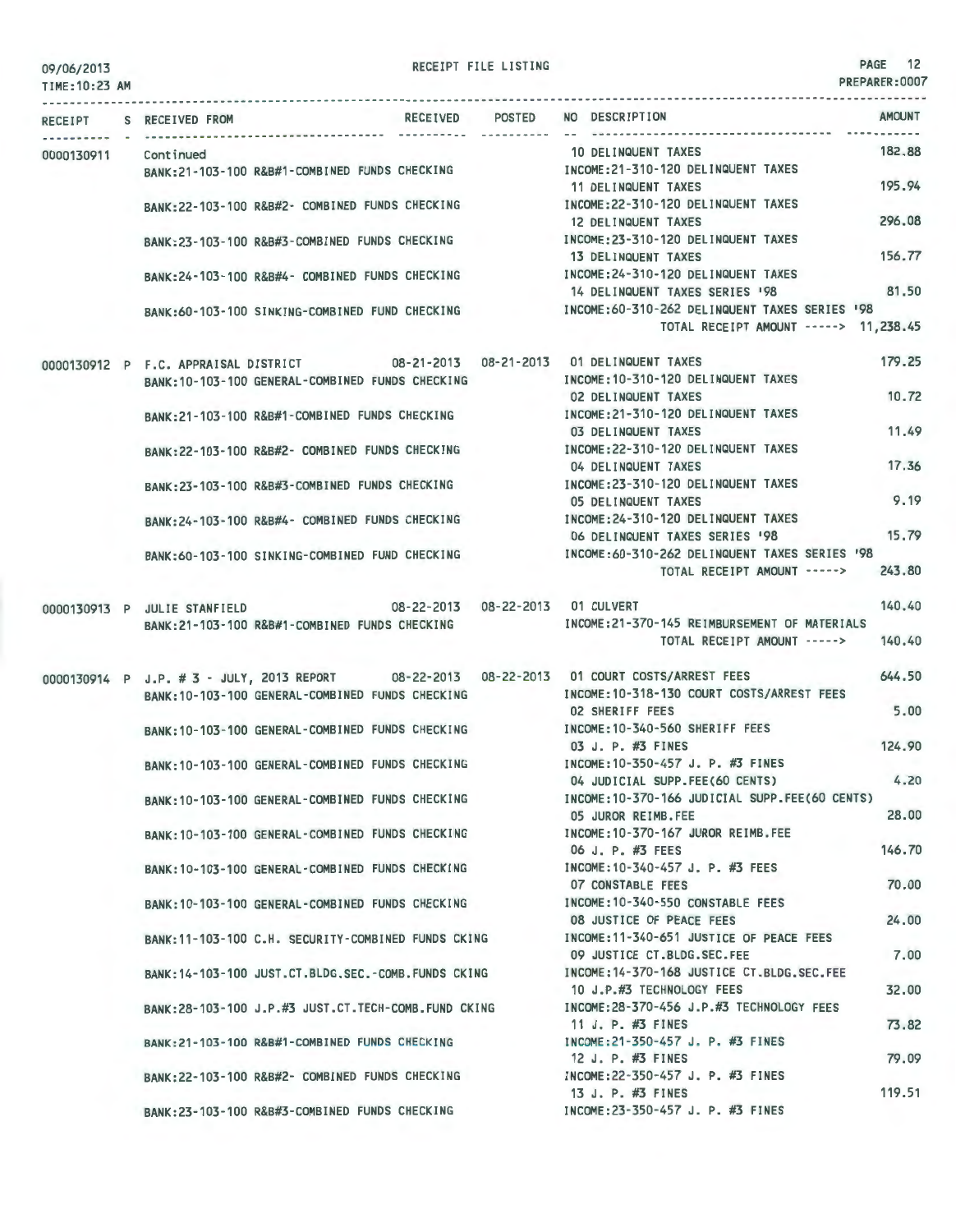| 09/06/2013 |  |
|------------|--|
|            |  |

RECEIPT FILE LISTING **PAGE 12** 

|            |                                                                                           | RECEIVED POSTED                    | NO DESCRIPTION                                 | <b>AMOUNT</b> |
|------------|-------------------------------------------------------------------------------------------|------------------------------------|------------------------------------------------|---------------|
|            | RECEIPT S RECEIVED FROM                                                                   |                                    |                                                |               |
| 0000130911 | Cont inued                                                                                |                                    | 10 DELINQUENT TAXES                            | 182.88        |
|            | BANK:21-103-100 R&B#1-COMBINED FUNDS CHECKING                                             |                                    | INCOME: 21-310-120 DELINQUENT TAXES            |               |
|            |                                                                                           |                                    | 11 DELINQUENT TAXES                            | 195.94        |
|            | BANK:22-103-100 R&B#2- COMBINED FUNDS CHECKING                                            |                                    | INCOME: 22-310-120 DELINQUENT TAXES            |               |
|            |                                                                                           |                                    | 12 DELINQUENT TAXES                            | 296.08        |
|            | BANK:23-103-100 R&B#3-COMBINED FUNDS CHECKING                                             |                                    | INCOME: 23-310-120 DELINQUENT TAXES            |               |
|            |                                                                                           |                                    | 13 DELINQUENT TAXES                            | 156.77        |
|            | BANK:24-103-100 R&B#4- COMBINED FUNDS CHECKING                                            |                                    | INCOME: 24-310-120 DELINQUENT TAXES            |               |
|            |                                                                                           |                                    | 14 DELINQUENT TAXES SERIES '98                 | 81.50         |
|            | BANK:60-103-100 SINKING-COMBINED FUND CHECKING                                            |                                    | INCOME: 60-310-262 DELINQUENT TAXES SERIES '98 |               |
|            |                                                                                           |                                    | TOTAL RECEIPT AMOUNT -----> 11,238.45          |               |
|            | 0000130912 P F.C. APPRAISAL DISTRICT 08-21-2013 08-21-2013 01 DELINQUENT TAXES            |                                    |                                                | 179.25        |
|            | BANK: 10-103-100 GENERAL-COMBINED FUNDS CHECKING                                          |                                    | INCOME: 10-310-120 DELINQUENT TAXES            |               |
|            |                                                                                           |                                    | 02 DELINQUENT TAXES                            | 10.72         |
|            | BANK:21-103-100 R&B#1-COMBINED FUNDS CHECKING                                             |                                    | INCOME: 21-310-120 DELINQUENT TAXES            |               |
|            |                                                                                           |                                    | 03 DELINQUENT TAXES                            | 11.49         |
|            | BANK:22-103-100 R&B#2- COMBINED FUNDS CHECKING                                            |                                    | INCOME: 22-310-120 DELINQUENT TAXES            |               |
|            |                                                                                           |                                    | 04 DELINQUENT TAXES                            | 17.36         |
|            | BANK:23-103-100 R&B#3-COMBINED FUNDS CHECKING                                             |                                    | INCOME: 23-310-120 DELINQUENT TAXES            |               |
|            |                                                                                           |                                    | 05 DELINQUENT TAXES                            | 9.19          |
|            | BANK: 24-103-100 R&B#4- COMBINED FUNDS CHECKING                                           |                                    | INCOME: 24-310-120 DELINQUENT TAXES            |               |
|            |                                                                                           |                                    | 06 DELINQUENT TAXES SERIES '98                 | 15.79         |
|            | BANK:60-103-100 SINKING-COMBINED FUND CHECKING                                            |                                    | INCOME:60-310-262 DELINQUENT TAXES SERIES '98  |               |
|            |                                                                                           |                                    | TOTAL RECEIPT AMOUNT ----->                    | 243.80        |
|            | 0000130913 P JULIE STANFIELD                                                              | 08-22-2013  08-22-2013  01 CULVERT |                                                | 140.40        |
|            | BANK:21-103-100 R&B#1-COMBINED FUNDS CHECKING                                             |                                    | INCOME: 21-370-145 REIMBURSEMENT OF MATERIALS  |               |
|            |                                                                                           |                                    | TOTAL RECEIPT AMOUNT ----->                    | 140.40        |
|            | 0000130914 P J.P. #3 - JULY, 2013 REPORT 08-22-2013 08-22-2013 01 COURT COSTS/ARREST FEES |                                    |                                                | 644.50        |
|            | BANK: 10-103-100 GENERAL-COMBINED FUNDS CHECKING                                          |                                    | INCOME:10-318-130 COURT COSTS/ARREST FEES      |               |
|            |                                                                                           |                                    | <b>02 SHERIFF FEES</b>                         | 5.00          |
|            | BANK: 10-103-100 GENERAL-COMBINED FUNDS CHECKING                                          |                                    | INCOME: 10-340-560 SHERIFF FEES                |               |
|            |                                                                                           |                                    | 03 J. P. #3 FINES                              | 124.90        |
|            | BANK: 10-103-100 GENERAL-COMBINED FUNDS CHECKING                                          |                                    | INCOME: 10-350-457 J. P. #3 FINES              |               |
|            |                                                                                           |                                    | 04 JUDICIAL SUPP.FEE(60 CENTS)                 | 4.20          |
|            | BANK: 10-103-100 GENERAL-COMBINED FUNDS CHECKING                                          |                                    | INCOME: 10-370-166 JUDICIAL SUPP.FEE(60 CENTS) |               |
|            |                                                                                           |                                    | 05 JUROR REIMB.FEE                             | 28.00         |
|            | BANK: 10-103-100 GENERAL-COMBINED FUNDS CHECKING                                          |                                    | INCOME: 10-370-167 JUROR REIMB.FEE             |               |
|            |                                                                                           |                                    | 06 J. P. #3 FEES                               | 146,70        |
|            | BANK: 10-103-100 GENERAL-COMBINED FUNDS CHECKING                                          |                                    | INCOME: 10-340-457 J. P. #3 FEES               |               |
|            |                                                                                           |                                    | 07 CONSTABLE FEES                              | 70.00         |
|            | BANK: 10-103-100 GENERAL-COMBINED FUNDS CHECKING                                          |                                    | INCOME:10-340-550 CONSTABLE FEES               |               |
|            |                                                                                           |                                    | 08 JUSTICE OF PEACE FEES                       | 24,00         |
|            | BANK:11-103-100 C.H. SECURITY-COMBINED FUNDS CKING                                        |                                    | INCOME:11-340-651 JUSTICE OF PEACE FEES        |               |
|            |                                                                                           |                                    | 09 JUSTICE CT.BLDG.SEC.FEE                     | 7.00          |
|            | BANK: 14-103-100 JUST.CT.BLDG.SEC.-COMB.FUNDS CKING                                       |                                    | INCOME: 14-370-168 JUSTICE CT.BLDG.SEC.FEE     |               |
|            |                                                                                           |                                    | 10 J.P.#3 TECHNOLOGY FEES                      | 32,00         |
|            | BANK:28-103-100 J.P.#3 JUST.CT.TECH-COMB.FUND CKING                                       |                                    | INCOME: 28-370-456 J.P.#3 TECHNOLOGY FEES      |               |
|            |                                                                                           |                                    | 11 J. P. #3 FINES                              | 73.82         |
|            | BANK: 21-103-100 R&B#1-COMBINED FUNDS CHECKING                                            |                                    | INCOME: 21-350-457 J. P. #3 FINES              |               |
|            |                                                                                           |                                    | 12 J. P. #3 FINES                              | 79.09         |
|            | BANK:22-103-100 R&B#2- COMBINED FUNDS CHECKING                                            |                                    | INCOME:22-350-457 J. P. #3 FINES               |               |
|            |                                                                                           |                                    | 13 J. P. #3 FINES                              | 119.51        |
|            | BANK:23-103-100 R&B#3-COMBINED FUNDS CHECKING                                             |                                    | INCOME: 23-350-457 J. P. #3 FINES              |               |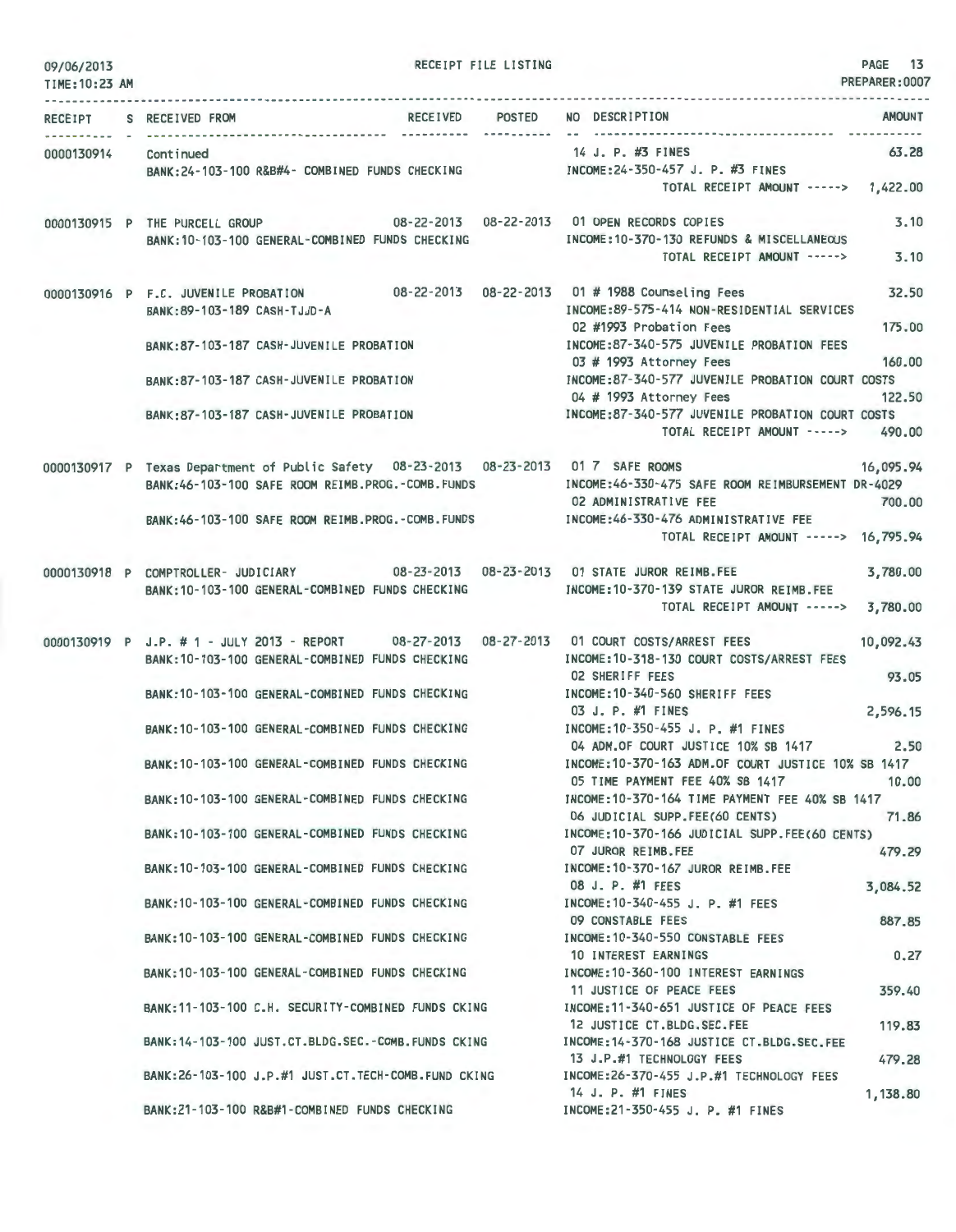| 09/06/2013<br>TIME: 10:23 AM |                                                                                                                                                 |  | RECEIPT FILE LISTING |                                                                                                                    | PAGE 13<br>PREPARER: 0007 |
|------------------------------|-------------------------------------------------------------------------------------------------------------------------------------------------|--|----------------------|--------------------------------------------------------------------------------------------------------------------|---------------------------|
| <b>RECEIPT</b>               | RECEIVED POSTED<br>S RECEIVED FROM                                                                                                              |  |                      | NO DESCRIPTION                                                                                                     | <b>AMOUNT</b>             |
| 0000130914                   | Continued<br>BANK:24-103-100 R&B#4- COMBINED FUNDS CHECKING [INCOME:24-350-457 J. P. #3 FINES                                                   |  |                      | 14 J. P. #3 FINES                                                                                                  | 63.28                     |
|                              |                                                                                                                                                 |  |                      | TOTAL RECEIPT AMOUNT -----> 1,422.00                                                                               |                           |
|                              | 0000130915 P THE PURCELL GROUP 08-22-2013 08-22-2013 01 OPEN RECORDS COPIES<br>BANK:10-103-100 GENERAL-COMBINED FUNDS CHECKING                  |  |                      | the second control of the second con-<br>INCOME: 10-370-130 REFUNDS & MISCELLANEOUS<br>TOTAL RECEIPT AMOUNT -----> | 3.10<br>3.10              |
|                              | 0000130916 P F.C. JUVENILE PROBATION 08-22-2013 08-22-2013 01 # 1988 Counseling Fees<br>BANK: 89-103-189 CASH-TJJD-A                            |  |                      | INCOME:89-575-414 NON-RESIDENTIAL SERVICES                                                                         | 32.50                     |
|                              | BANK:87-103-187 CASH-JUVENILE PROBATION                                                                                                         |  |                      | 02 #1993 Probation Fees<br>INCOME:87-340-575 JUVENILE PROBATION FEES<br>03 # 1993 Attorney Fees                    | 175.00<br>160,00          |
|                              | BANK:87-103-187 CASH-JUVENILE PROBATION                                                                                                         |  |                      | INCOME:87-340-577 JUVENILE PROBATION COURT COSTS<br>04 # 1993 Attorney Fees                                        | 122.50                    |
|                              | BANK:87-103-187 CASH-JUVENILE PROBATION                                                                                                         |  |                      | INCOME:87-340-577 JUVENILE PROBATION COURT COSTS<br>TOTAL RECEIPT AMOUNT -----> 490.00                             |                           |
|                              | 0000130917 P Texas Department of Public Safety 08-23-2013 08-23-2013 01 7 SAFE ROOMS<br>BANK:46-103-100 SAFE ROOM REIMB.PROG.-COMB.FUNDS        |  |                      | INCOME:46-330-475 SAFE ROOM REIMBURSEMENT DR-4029<br>02 ADMINISTRATIVE FEE                                         | 16,095.94<br>700.00       |
|                              | BANK:46-103-100 SAFE ROOM REIMB.PROG.-COMB.FUNDS                                                                                                |  |                      | INCOME:46-330-476 ADMINISTRATIVE FEE<br>TOTAL RECEIPT AMOUNT -----> 16,795.94                                      |                           |
|                              | 0000130918 P COMPTROLLER- JUDICIARY 08-23-2013 08-23-2013 01 STATE JUROR REIMB.FEE<br>BANK: 10-103-100 GENERAL-COMBINED FUNDS CHECKING          |  |                      | INCOME:10-370-139 STATE JUROR REIMB.FEE<br>TOTAL RECEIPT AMOUNT ----->                                             | 3,780.00<br>3,780.00      |
|                              | 0000130919 P J.P. # 1 - JULY 2013 - REPORT 08-27-2013 08-27-2013 01 COURT COSTS/ARREST FEES<br>BANK: 10-103-100 GENERAL-COMBINED FUNDS CHECKING |  |                      | INCOME: 10-318-130 COURT COSTS/ARREST FEES                                                                         | 10,092.43                 |
|                              | BANK:10-103-100 GENERAL-COMBINED FUNDS CHECKING                                                                                                 |  |                      | <b>02 SHERIFF FEES</b><br>INCOME: 10-340-560 SHERIFF FEES<br>03 J. P. #1 FINES                                     | 93.05<br>2,596.15         |
|                              | BANK: 10-103-100 GENERAL-COMBINED FUNDS CHECKING                                                                                                |  |                      | INCOME: 10-350-455 J. P. #1 FINES<br>04 ADM.OF COURT JUSTICE 10% SB 1417                                           |                           |
|                              | BANK:10-103-100 GENERAL-COMBINED FUNDS CHECKING                                                                                                 |  |                      | INCOME:10-370-163 ADM.OF COURT JUSTICE 10% SB 1417<br>05 TIME PAYMENT FEE 40% SB 1417                              | 2.50                      |
|                              | BANK:10-103-100 GENERAL-COMBINED FUNDS CHECKING                                                                                                 |  |                      | INCOME: 10-370-164 TIME PAYMENT FEE 40% SB 1417<br>06 JUDICIAL SUPP.FEE(60 CENTS)                                  | 10.00                     |
|                              | BANK: 10-103-100 GENERAL-COMBINED FUNDS CHECKING                                                                                                |  |                      | INCOME:10-370-166 JUDICIAL SUPP.FEE(60 CENTS)<br>07 JUROR REIMB.FEE                                                | 71.86                     |
|                              | BANK: 10-103-100 GENERAL-COMBINED FUNDS CHECKING                                                                                                |  |                      | INCOME: 10-370-167 JUROR REIMB.FEE<br>08 J. P. #1 FEES                                                             | 479.29<br>3,084.52        |
|                              | BANK: 10-103-100 GENERAL-COMBINED FUNDS CHECKING                                                                                                |  |                      | INCOME: 10-340-455 J. P. #1 FEES<br>09 CONSTABLE FEES                                                              | 887.85                    |
|                              | BANK: 10-103-100 GENERAL-COMBINED FUNDS CHECKING                                                                                                |  |                      | INCOME: 10-340-550 CONSTABLE FEES<br>10 INTEREST EARNINGS                                                          | 0.27                      |
|                              | BANK:10-103-100 GENERAL-COMBINED FUNDS CHECKING                                                                                                 |  |                      | INCOME: 10-360-100 INTEREST EARNINGS<br>11 JUSTICE OF PEACE FEES                                                   | 359.40                    |
|                              | BANK: 11-103-100 C.H. SECURITY-COMBINED FUNDS CKING                                                                                             |  |                      | INCOME: 11-340-651 JUSTICE OF PEACE FEES<br>12 JUSTICE CT.BLDG.SEC.FEE                                             |                           |
|                              | BANK: 14-103-100 JUST.CT.BLDG.SEC.-COMB.FUNDS CKING                                                                                             |  |                      | INCOME: 14-370-168 JUSTICE CT.BLDG.SEC.FEE<br>13 J.P.#1 TECHNOLOGY FEES                                            | 119.83<br>479.28          |
|                              | BANK:26-103-100 J.P.#1 JUST.CT.TECH-COMB.FUND CKING                                                                                             |  |                      | INCOME:26-370-455 J.P.#1 TECHNOLOGY FEES<br>14 J. P. #1 FINES                                                      | 1,138.80                  |
|                              | BANK: 21-103-100 R&B#1-COMBINED FUNDS CHECKING                                                                                                  |  |                      | INCOME:21-350-455 J. P. #1 FINES                                                                                   |                           |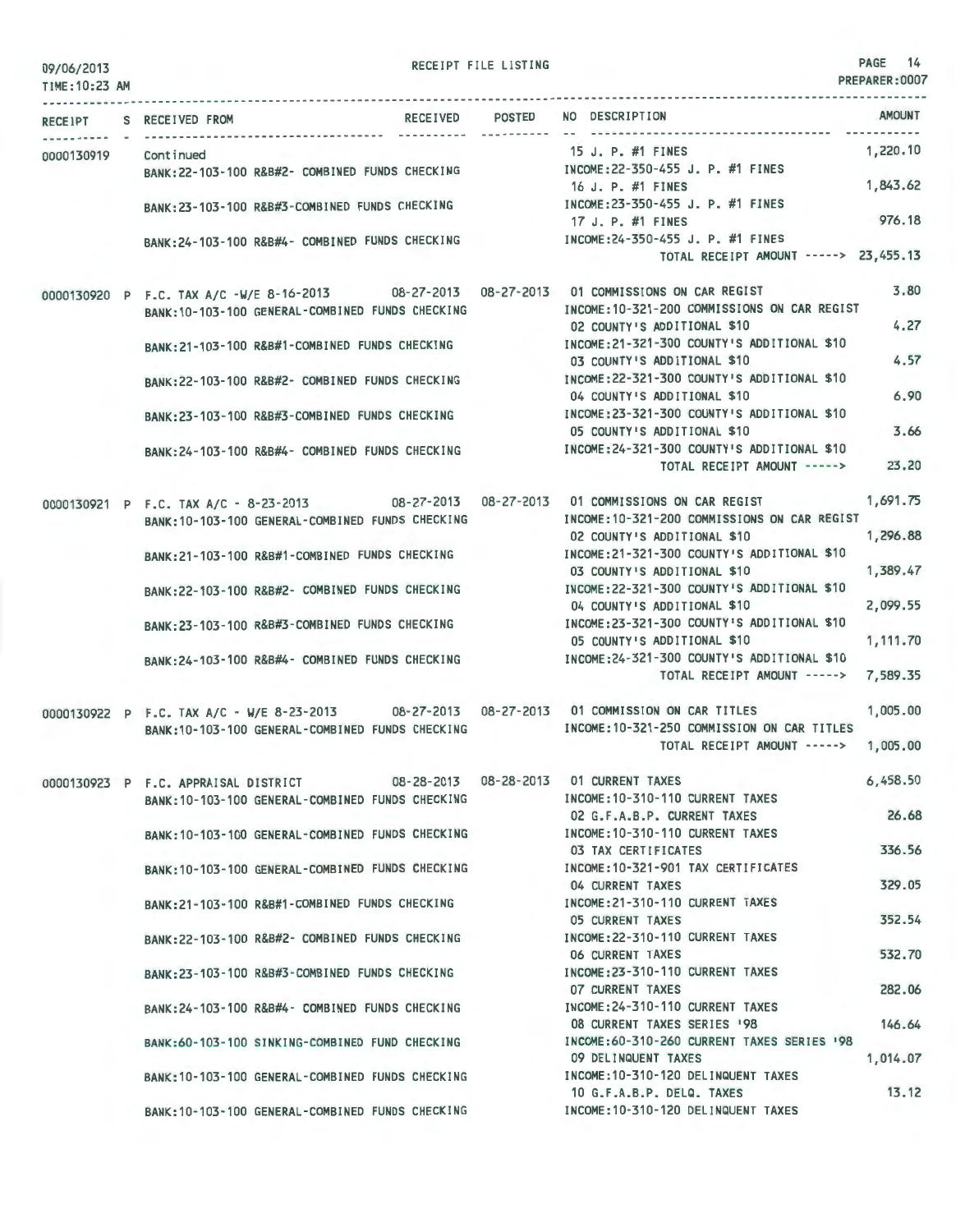| 09/06/2013<br>TIME: 10:23 AM |                                                                                             | RECEIPT FILE LISTING |                                                                            | PAGE 14<br>PREPARER: 0007 |
|------------------------------|---------------------------------------------------------------------------------------------|----------------------|----------------------------------------------------------------------------|---------------------------|
|                              |                                                                                             |                      |                                                                            |                           |
|                              | RECEIVED POSTED<br>RECEIPT S RECEIVED FROM                                                  | -----------          | NO DESCRIPTION                                                             | <b>AMOUNT</b>             |
| 0000130919 Continued         |                                                                                             |                      | 15 J. P. #1 FINES                                                          | 1,220.10                  |
|                              | BANK: 22-103-100 R&B#2- COMBINED FUNDS CHECKING                                             |                      | INCOME:22-350-455 J. P. #1 FINES                                           |                           |
|                              |                                                                                             |                      | 16 J. P. #1 FINES                                                          | 1,843.62                  |
|                              | BANK: 23-103-100 R&B#3-COMBINED FUNDS CHECKING                                              |                      | INCOME: 23-350-455 J. P. #1 FINES                                          |                           |
|                              |                                                                                             |                      | 17 J. P. #1 FINES                                                          | 976.18                    |
|                              | BANK: 24-103-100 R&B#4- COMBINED FUNDS CHECKING                                             |                      | INCOME: 24-350-455 J. P. #1 FINES<br>TOTAL RECEIPT AMOUNT -----> 23,455.13 |                           |
|                              |                                                                                             |                      |                                                                            |                           |
|                              | 0000130920 P F.C. TAX A/C -W/E 8-16-2013 08-27-2013 08-27-2013 01 COMMISSIONS ON CAR REGIST |                      |                                                                            | 3.80                      |
|                              | BANK: 10-103-100 GENERAL-COMBINED FUNDS CHECKING                                            |                      | INCOME: 10-321-200 COMMISSIONS ON CAR REGIST                               |                           |
|                              |                                                                                             |                      | 02 COUNTY'S ADDITIONAL \$10                                                | 4.27                      |
|                              | BANK: 21-103-100 R&B#1-COMBINED FUNDS CHECKING                                              |                      | INCOME: 21-321-300 COUNTY'S ADDITIONAL \$10                                |                           |
|                              |                                                                                             |                      | 03 COUNTY'S ADDITIONAL \$10                                                | 4.57                      |
|                              | BANK:22-103-100 R&B#2- COMBINED FUNDS CHECKING                                              |                      | INCOME: 22-321-300 COUNTY'S ADDITIONAL \$10<br>04 COUNTY'S ADDITIONAL \$10 | 6.90                      |
|                              |                                                                                             |                      | INCOME:23-321-300 COUNTY'S ADDITIONAL \$10                                 |                           |
|                              | BANK:23-103-100 R&B#3-COMBINED FUNDS CHECKING                                               |                      | 05 COUNTY'S ADDITIONAL \$10                                                | 3.66                      |
|                              | BANK: 24-103-100 R&B#4- COMBINED FUNDS CHECKING                                             |                      | INCOME:24-321-300 COUNTY'S ADDITIONAL \$10                                 |                           |
|                              |                                                                                             |                      | TOTAL RECEIPT AMOUNT ----->                                                | 23,20                     |
|                              |                                                                                             |                      |                                                                            |                           |
|                              | 0000130921 P F.C. TAX A/C - 8-23-2013 08-27-2013 08-27-2013 01 COMMISSIONS ON CAR REGIST    |                      |                                                                            | 1,691.75                  |
|                              | BANK: 10-103-100 GENERAL-COMBINED FUNDS CHECKING                                            |                      | INCOME: 10-321-200 COMMISSIONS ON CAR REGIST                               | 1,296.88                  |
|                              |                                                                                             |                      | 02 COUNTY'S ADDITIONAL \$10<br>INCOME: 21-321-300 COUNTY'S ADDITIONAL \$10 |                           |
|                              | BANK:21-103-100 R&B#1-COMBINED FUNDS CHECKING                                               |                      | 03 COUNTY'S ADDITIONAL \$10                                                | 1,389.47                  |
|                              | BANK:22-103-100 R&B#2- COMBINED FUNDS CHECKING                                              |                      | INCOME:22-321-300 COUNTY'S ADDITIONAL \$10                                 |                           |
|                              |                                                                                             |                      | 04 COUNTY'S ADDITIONAL \$10                                                | 2,099.55                  |
|                              | BANK: 23-103-100 R&B#3-COMBINED FUNDS CHECKING                                              |                      | INCOME:23-321-300 COUNTY'S ADDITIONAL \$10                                 |                           |
|                              |                                                                                             |                      | 05 COUNTY'S ADDITIONAL \$10                                                | 1,111.70                  |
|                              | BANK: 24-103-100 R&B#4- COMBINED FUNDS CHECKING                                             |                      | INCOME: 24-321-300 COUNTY'S ADDITIONAL \$10                                |                           |
|                              |                                                                                             |                      | TOTAL RECEIPT AMOUNT ----->                                                | 7,589.35                  |
|                              | 0000130922 P F.C. TAX A/C - W/E 8-23-2013 08-27-2013 08-27-2013 01 COMMISSION ON CAR TITLES |                      |                                                                            | 1,005.00                  |
|                              | BANK: 10-103-100 GENERAL-COMBINED FUNDS CHECKING                                            |                      | INCOME: 10-321-250 COMMISSION ON CAR TITLES                                |                           |
|                              |                                                                                             |                      | TOTAL RECEIPT AMOUNT ----->                                                | 1,005.00                  |
|                              |                                                                                             |                      |                                                                            |                           |
|                              | 0000130923 P F.C. APPRAISAL DISTRICT                                                        |                      | 08-28-2013  08-28-2013  01 CURRENT TAXES                                   | 6,458.50                  |
|                              | BANK: 10-103-100 GENERAL-COMBINED FUNDS CHECKING                                            |                      | INCOME: 10-310-110 CURRENT TAXES                                           |                           |
|                              |                                                                                             |                      | 02 G.F.A.B.P. CURRENT TAXES                                                | 26.68                     |
|                              | BANK: 10-103-100 GENERAL-COMBINED FUNDS CHECKING                                            |                      | INCOME: 10-310-110 CURRENT TAXES<br>03 TAX CERTIFICATES                    | 336.56                    |
|                              | BANK: 10-103-100 GENERAL-COMBINED FUNDS CHECKING                                            |                      | INCOME: 10-321-901 TAX CERTIFICATES                                        |                           |
|                              |                                                                                             |                      | 04 CURRENT TAXES                                                           | 329.05                    |
|                              | BANK: 21-103-100 R&B#1-COMBINED FUNDS CHECKING                                              |                      | INCOME: 21-310-110 CURRENT TAXES                                           |                           |
|                              |                                                                                             |                      | <b>05 CURRENT TAXES</b>                                                    | 352.54                    |
|                              | BANK:22-103-100 R&B#2- COMBINED FUNDS CHECKING                                              |                      | INCOME: 22-310-110 CURRENT TAXES                                           |                           |
|                              |                                                                                             |                      | <b>06 CURRENT TAXES</b>                                                    | 532.70                    |
|                              | BANK: 23-103-100 R&B#3-COMBINED FUNDS CHECKING                                              |                      | INCOME: 23-310-110 CURRENT TAXES                                           |                           |
|                              |                                                                                             |                      | 07 CURRENT TAXES<br>INCOME: 24-310-110 CURRENT TAXES                       | 282.06                    |
|                              | BANK:24-103-100 R&B#4- COMBINED FUNDS CHECKING                                              |                      | 08 CURRENT TAXES SERIES '98                                                | 146.64                    |
|                              | BANK:60-103-100 SINKING-COMBINED FUND CHECKING                                              |                      | INCOME:60-310-260 CURRENT TAXES SERIES '98                                 |                           |
|                              |                                                                                             |                      | 09 DELINQUENT TAXES                                                        | 1,014.07                  |
|                              | BANK: 10-103-100 GENERAL-COMBINED FUNDS CHECKING                                            |                      | INCOME: 10-310-120 DELINQUENT TAXES                                        |                           |
|                              |                                                                                             |                      | 10 G.F.A.B.P. DELQ. TAXES                                                  | 13.12                     |
|                              | BANK: 10-103-100 GENERAL-COMBINED FUNDS CHECKING                                            |                      | INCOME: 10-310-120 DELINQUENT TAXES                                        |                           |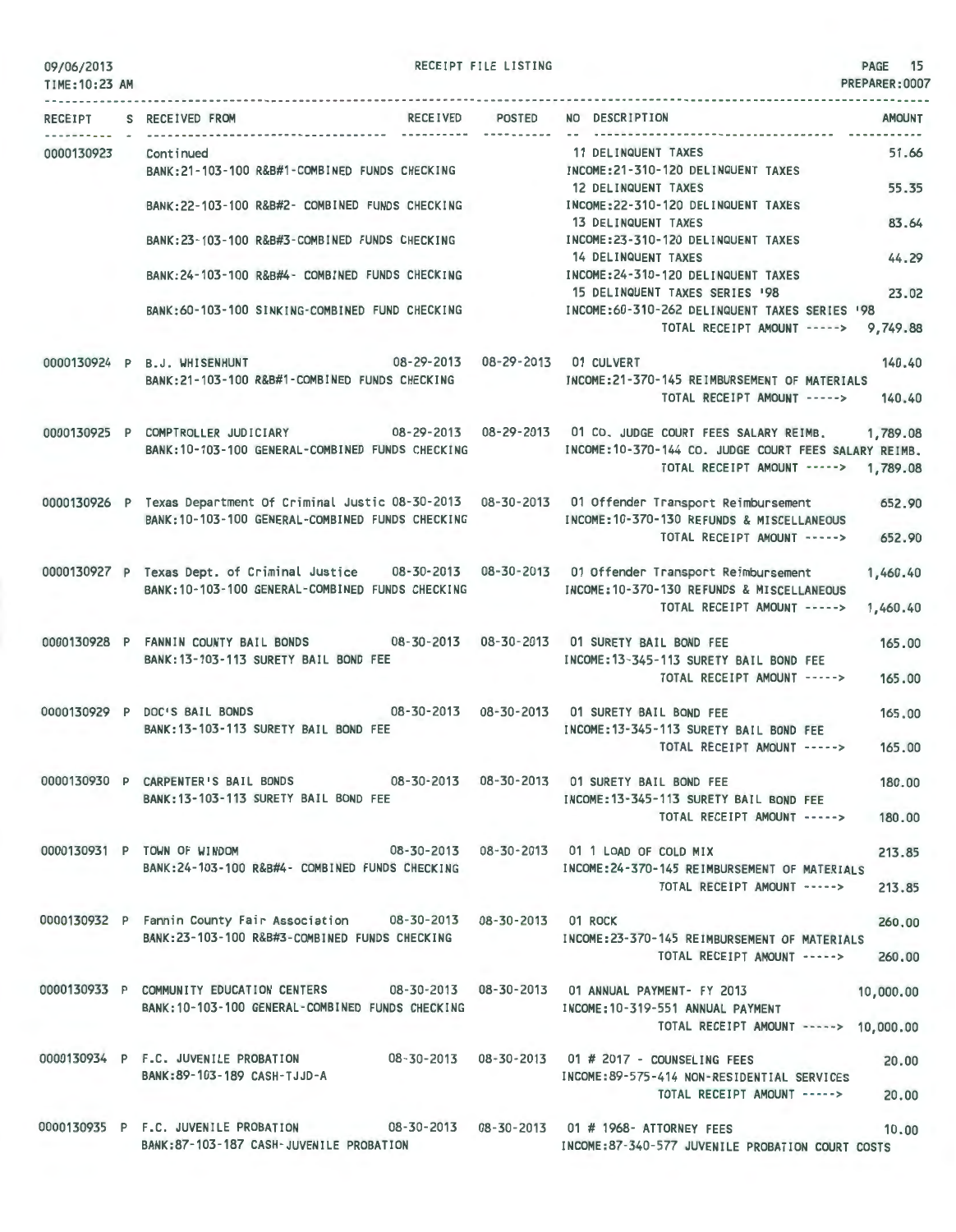| 09/06/2013<br>TIME: 10:23 AM |                                                                                                                                                                | RECEIPT FILE LISTING | PAGE 15<br>PREPARER: 0007                                                                                                                          |  |
|------------------------------|----------------------------------------------------------------------------------------------------------------------------------------------------------------|----------------------|----------------------------------------------------------------------------------------------------------------------------------------------------|--|
| RECEIPT                      | RECEIVED POSTED<br>S RECEIVED FROM                                                                                                                             |                      | NO DESCRIPTION<br><b>AMOUNT</b>                                                                                                                    |  |
| 0000130923                   | Continued<br>BANK:21-103-100 R&B#1-COMBINED FUNDS CHECKING                                                                                                     | -----------          | 11 DELINQUENT TAXES<br>51.66<br>INCOME:21-310-120 DELINQUENT TAXES                                                                                 |  |
|                              | BANK:22-103-100 R&B#2- COMBINED FUNDS CHECKING                                                                                                                 |                      | 12 DELINQUENT TAXES<br>55.35<br>INCOME: 22-310-120 DELINQUENT TAXES                                                                                |  |
|                              | BANK:23-103-100 R&B#3-COMBINED FUNDS CHECKING                                                                                                                  |                      | 83.64<br>13 DELINQUENT TAXES<br>INCOME: 23-310-120 DELINQUENT TAXES                                                                                |  |
|                              | BANK: 24-103-100 R&B#4- COMBINED FUNDS CHECKING                                                                                                                |                      | 44.29<br>14 DELINQUENT TAXES<br>INCOME: 24-310-120 DELINQUENT TAXES                                                                                |  |
|                              | BANK:60-103-100 SINKING-COMBINED FUND CHECKING                                                                                                                 |                      | 15 DELINQUENT TAXES SERIES '98<br>23.02<br>INCOME:60-310-262 DELINQUENT TAXES SERIES '98<br>TOTAL RECEIPT AMOUNT -----><br>9,749.88                |  |
|                              | 08-29-2013  08-29-2013  01 CULVERT<br>0000130924 P B.J. WHISENHUNT<br>BANK:21-103-100 R&B#1-COMBINED FUNDS CHECKING                                            |                      | 140.40<br>INCOME: 21-370-145 REIMBURSEMENT OF MATERIALS<br>TOTAL RECEIPT AMOUNT -----><br>140.40                                                   |  |
|                              | 0000130925 P COMPTROLLER JUDICIARY 08-29-2013 08-29-2013 01 CO. JUDGE COURT FEES SALARY REIMB.<br>BANK: 10-103-100 GENERAL-COMBINED FUNDS CHECKING             |                      | 1,789.08<br>INCOME: 10-370-144 CO. JUDGE COURT FEES SALARY REIMB.<br>TOTAL RECEIPT AMOUNT -----><br>1,789.08                                       |  |
|                              | 0000130926 P Texas Department Of Criminal Justic 08-30-2013 08-30-2013 01 Offender Transport Reimbursement<br>BANK: 10-103-100 GENERAL-COMBINED FUNDS CHECKING |                      | 652.90<br>INCOME: 10-370-130 REFUNDS & MISCELLANEOUS<br>TOTAL RECEIPT AMOUNT -----><br>652.90                                                      |  |
|                              | 0000130927 P Texas Dept. of Criminal Justice 08-30-2013 08-30-2013 01 Offender Transport Reimbursement<br>BANK: 10-103-100 GENERAL-COMBINED FUNDS CHECKING     |                      | 1,460.40<br>INCOME:10-370-130 REFUNDS & MISCELLANEOUS<br>TOTAL RECEIPT AMOUNT -----><br>1,460.40                                                   |  |
|                              | 0000130928 P FANNIN COUNTY BAIL BONDS<br>BANK: 13-103-113 SURETY BAIL BOND FEE                                                                                 |                      | 08-30-2013  08-30-2013  01 SURETY BAIL BOND FEE<br>165.00<br>INCOME: 13-345-113 SURETY BAIL BOND FEE<br>TOTAL RECEIPT AMOUNT -----><br>165.00      |  |
|                              | 0000130929 P DOC'S BAIL BONDS<br>BANK: 13-103-113 SURETY BAIL BOND FEE                                                                                         |                      | 08-30-2013  08-30-2013  01 SURETY BAIL BOND FEE<br>165.00<br>INCOME: 13-345-113 SURETY BAIL BOND FEE<br>TOTAL RECEIPT AMOUNT -----><br>165.00      |  |
|                              | 0000130930 P CARPENTER'S BAIL BONDS<br>BANK:13-103-113 SURETY BAIL BOND FEE                                                                                    |                      | 08-30-2013  08-30-2013  01 SURETY BAIL BOND FEE<br>180.00<br>INCOME: 13-345-113 SURETY BAIL BOND FEE<br>TOTAL RECEIPT AMOUNT -----><br>180.00      |  |
|                              | 0000130931 P TOWN OF WINDOM<br>BANK:24-103-100 R&B#4- COMBINED FUNDS CHECKING                                                                                  |                      | 08-30-2013  08-30-2013  01 1  LOAD OF COLD MIX<br>213.85<br>INCOME: 24-370-145 REIMBURSEMENT OF MATERIALS<br>TOTAL RECEIPT AMOUNT -----><br>213.85 |  |
|                              | 0000130932 P Fannin County Fair Association    08-30-2013   08-30-2013   01 ROCK<br>BANK:23-103-100 R&B#3-COMBINED FUNDS CHECKING                              |                      | 260.00<br>INCOME:23-370-145 REIMBURSEMENT OF MATERIALS<br>TOTAL RECEIPT AMOUNT -----><br>260,00                                                    |  |

0000130933 p COMMUNITY EDUCATION CENTERS 08-30-2013 08-30-2013 01 ANNUAL PAYMENT- FY 2013 10,000.00 BANK:10-103- 100 GENERAL-COMBINED FUNDS CHECKING INCOME:10-319-551 ANNUAL PAYMENT TOTAL RECEIPT AMOUNT -----> 10,000.00

0000130934 P F.C. JUVENILE PROBATION BANK:89-103- 189 CASH -TJJD -A 08-30-2013 08-30-2013 01 # 2017 - COUNSELING FEES 20.00 INCOME:89-575-414 NON-RESIDENTIAL SERVICES TOTAL RECEIPT AMOUNT -----> 20.00

0000130935 P F.C. JUVENILE PROBATION 08-30-2013 08-30-2013 01 #1968- ATTORNEY FEES 10.00 BANK:87- 103-187 CASH-JUVENILE PROBATION INCOME:87-340-577 JUVENILE PROBATION COURT COSTS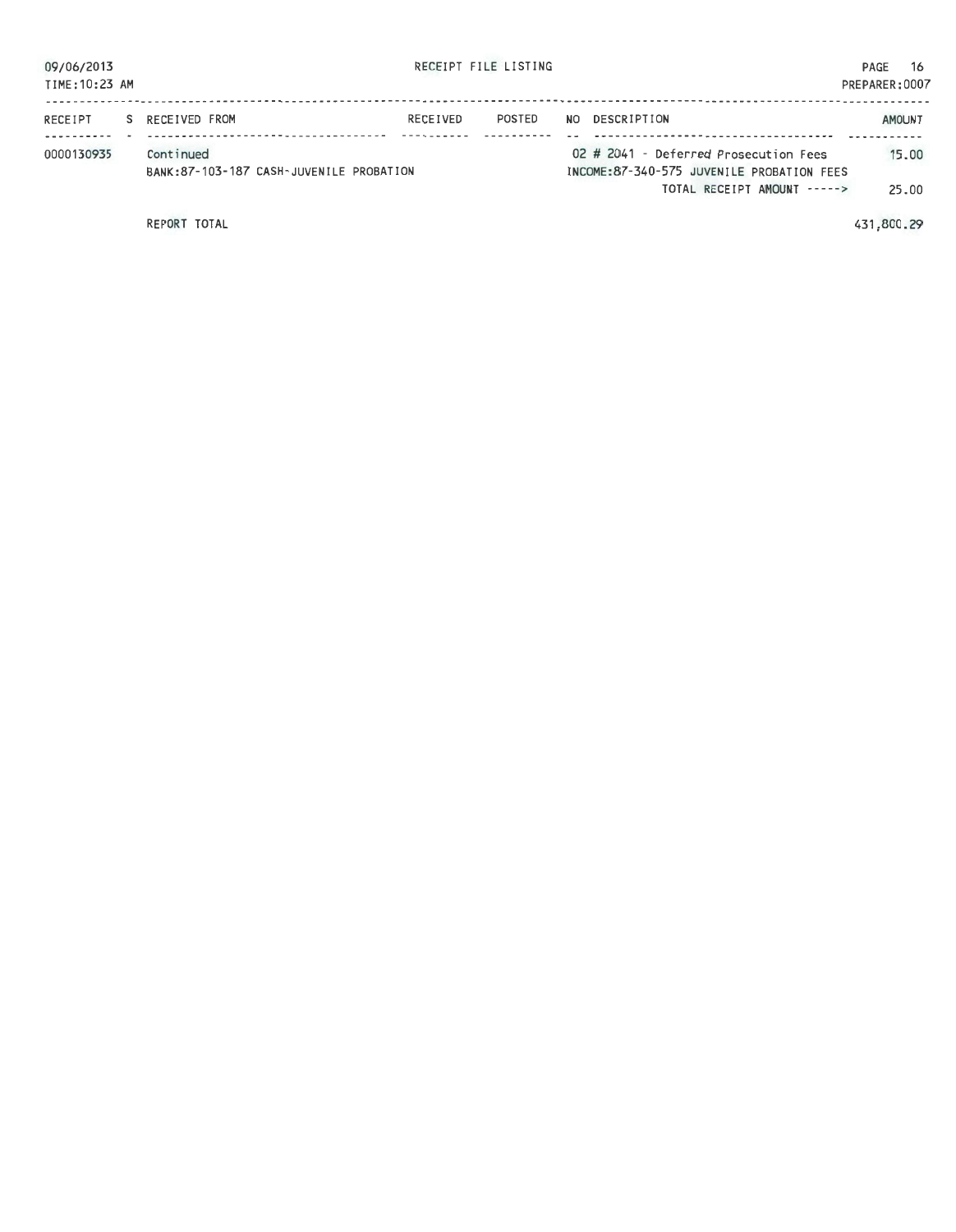| 09/06/2013<br>TIME: 10:23 AM |    |                                                       |          | RECEIPT FILE LISTING |     |                                                                                    | PAGE<br>PREPARER: 0007 | -16       |
|------------------------------|----|-------------------------------------------------------|----------|----------------------|-----|------------------------------------------------------------------------------------|------------------------|-----------|
| RECEIPT                      | S. | RECEIVED FROM                                         | RECEIVED | POSTED               | NO. | DESCRIPTION                                                                        |                        | AMOUNT    |
| 0000130935                   |    | Continued<br>BANK: 87-103-187 CASH-JUVENILE PROBATION |          |                      |     | 02 # 2041 - Deferred Prosecution Fees<br>INCOME:87-340-575 JUVENILE PROBATION FEES |                        | $15 - 00$ |
|                              |    |                                                       |          |                      |     | TOTAL RECEIPT AMOUNT ----->                                                        |                        | 25.00     |
|                              |    | ------ ----                                           |          |                      |     |                                                                                    | $174 - 22 - 2$         |           |

REPORT TOTAL

431,800.29